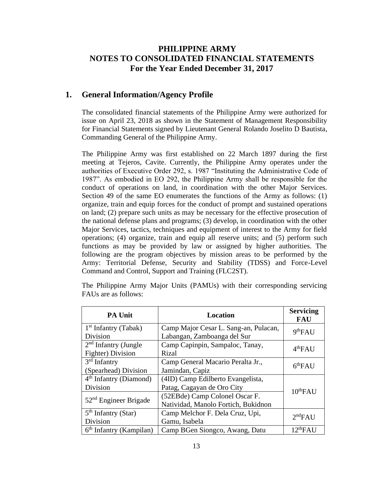## **PHILIPPINE ARMY NOTES TO CONSOLIDATED FINANCIAL STATEMENTS For the Year Ended December 31, 2017**

## **1. General Information/Agency Profile**

The consolidated financial statements of the Philippine Army were authorized for issue on April 23, 2018 as shown in the Statement of Management Responsibility for Financial Statements signed by Lieutenant General Rolando Joselito D Bautista, Commanding General of the Philippine Army.

The Philippine Army was first established on 22 March 1897 during the first meeting at Tejeros, Cavite. Currently, the Philippine Army operates under the authorities of Executive Order 292, s. 1987 "Instituting the Administrative Code of 1987". As embodied in EO 292, the Philippine Army shall be responsible for the conduct of operations on land, in coordination with the other Major Services. Section 49 of the same EO enumerates the functions of the Army as follows: (1) organize, train and equip forces for the conduct of prompt and sustained operations on land; (2) prepare such units as may be necessary for the effective prosecution of the national defense plans and programs; (3) develop, in coordination with the other Major Services, tactics, techniques and equipment of interest to the Army for field operations; (4) organize, train and equip all reserve units; and (5) perform such functions as may be provided by law or assigned by higher authorities. The following are the program objectives by mission areas to be performed by the Army: Territorial Defense, Security and Stability (TDSS) and Force-Level Command and Control, Support and Training (FLC2ST).

| <b>PA Unit</b>                                           | <b>Location</b>                       | <b>Servicing</b><br><b>FAU</b> |  |
|----------------------------------------------------------|---------------------------------------|--------------------------------|--|
| $1st$ Infantry (Tabak)                                   | Camp Major Cesar L. Sang-an, Pulacan, | 9 <sup>th</sup> FAU            |  |
| Division                                                 | Labangan, Zamboanga del Sur           |                                |  |
| $2nd$ Infantry (Jungle                                   | Camp Capinpin, Sampaloc, Tanay,       | 4 <sup>th</sup> FAU            |  |
| <b>Fighter</b> ) Division                                | Rizal                                 |                                |  |
| $3rd$ Infantry                                           | Camp General Macario Peralta Jr.,     | 6 <sup>th</sup> FAU            |  |
| (Spearhead) Division                                     | Jamindan, Capiz                       |                                |  |
| $4th$ Infantry (Diamond)                                 | (4ID) Camp Edilberto Evangelista,     |                                |  |
| Division                                                 | Patag, Cagayan de Oro City            | $10^{th}$ FAU                  |  |
| $52nd$ Engineer Brigade                                  | (52EBde) Camp Colonel Oscar F.        |                                |  |
|                                                          | Natividad, Manolo Fortich, Bukidnon   |                                |  |
| $5th$ Infantry (Star)<br>Camp Melchor F. Dela Cruz, Upi, |                                       | 2 <sup>nd</sup> FAIJ           |  |
| Division                                                 | Gamu, Isabela                         |                                |  |
| $6th$ Infantry (Kampilan)                                | Camp BGen Siongco, Awang, Datu        | 12 <sup>th</sup> FAU           |  |

The Philippine Army Major Units (PAMUs) with their corresponding servicing FAUs are as follows: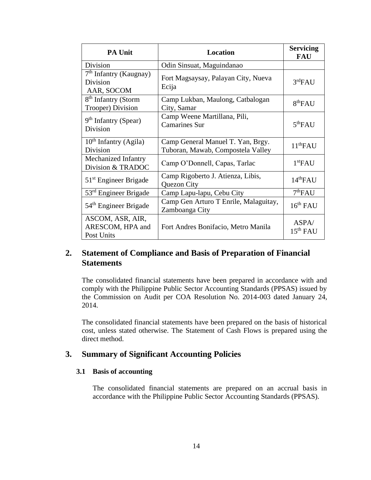| <b>PA Unit</b>                                               | Location                                                               | <b>Servicing</b><br><b>FAU</b> |
|--------------------------------------------------------------|------------------------------------------------------------------------|--------------------------------|
| <b>Division</b>                                              | Odin Sinsuat, Maguindanao                                              |                                |
| 7 <sup>th</sup> Infantry (Kaugnay)<br>Division<br>AAR, SOCOM | Fort Magsaysay, Palayan City, Nueva<br>Ecija                           | 3 <sup>rd</sup> FAU            |
| 8 <sup>th</sup> Infantry (Storm<br>Trooper) Division         | Camp Lukban, Maulong, Catbalogan<br>City, Samar                        | 8 <sup>th</sup> FAU            |
| $9th$ Infantry (Spear)<br>Division                           | Camp Weene Martillana, Pili,<br><b>Camarines Sur</b>                   | 5 <sup>th</sup> FAU            |
| $10th$ Infantry (Agila)<br>Division                          | Camp General Manuel T. Yan, Brgy.<br>Tuboran, Mawab, Compostela Valley | 11 <sup>th</sup> FAU           |
| Mechanized Infantry<br>Division & TRADOC                     | Camp O'Donnell, Capas, Tarlac                                          | 1 <sup>st</sup> FAU            |
| $51st$ Engineer Brigade                                      | Camp Rigoberto J. Atienza, Libis,<br>Quezon City                       | 14 <sup>th</sup> FAU           |
| $53rd$ Engineer Brigade                                      | Camp Lapu-lapu, Cebu City                                              | 7 <sup>th</sup> FAU            |
| 54 <sup>th</sup> Engineer Brigade                            | Camp Gen Arturo T Enrile, Malaguitay,<br>Zamboanga City                | 16 <sup>th</sup> FAU           |
| ASCOM, ASR, AIR,<br>ARESCOM, HPA and<br>Post Units           | Fort Andres Bonifacio, Metro Manila                                    | ASPA/<br>$15th$ FAU            |

## **2. Statement of Compliance and Basis of Preparation of Financial Statements**

The consolidated financial statements have been prepared in accordance with and comply with the Philippine Public Sector Accounting Standards (PPSAS) issued by the Commission on Audit per COA Resolution No. 2014-003 dated January 24, 2014.

The consolidated financial statements have been prepared on the basis of historical cost, unless stated otherwise. The Statement of Cash Flows is prepared using the direct method.

## **3. Summary of Significant Accounting Policies**

#### **3.1 Basis of accounting**

The consolidated financial statements are prepared on an accrual basis in accordance with the Philippine Public Sector Accounting Standards (PPSAS).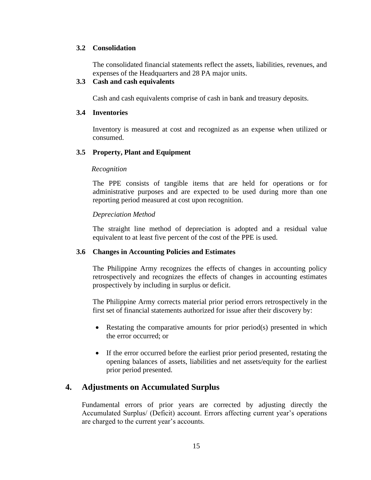#### **3.2 Consolidation**

The consolidated financial statements reflect the assets, liabilities, revenues, and expenses of the Headquarters and 28 PA major units.

#### **3.3 Cash and cash equivalents**

Cash and cash equivalents comprise of cash in bank and treasury deposits.

#### **3.4 Inventories**

Inventory is measured at cost and recognized as an expense when utilized or consumed.

#### **3.5 Property, Plant and Equipment**

#### *Recognition*

The PPE consists of tangible items that are held for operations or for administrative purposes and are expected to be used during more than one reporting period measured at cost upon recognition.

#### *Depreciation Method*

The straight line method of depreciation is adopted and a residual value equivalent to at least five percent of the cost of the PPE is used.

#### **3.6 Changes in Accounting Policies and Estimates**

The Philippine Army recognizes the effects of changes in accounting policy retrospectively and recognizes the effects of changes in accounting estimates prospectively by including in surplus or deficit.

The Philippine Army corrects material prior period errors retrospectively in the first set of financial statements authorized for issue after their discovery by:

- Restating the comparative amounts for prior period(s) presented in which the error occurred; or
- If the error occurred before the earliest prior period presented, restating the opening balances of assets, liabilities and net assets/equity for the earliest prior period presented.

#### **4. Adjustments on Accumulated Surplus**

Fundamental errors of prior years are corrected by adjusting directly the Accumulated Surplus/ (Deficit) account. Errors affecting current year's operations are charged to the current year's accounts.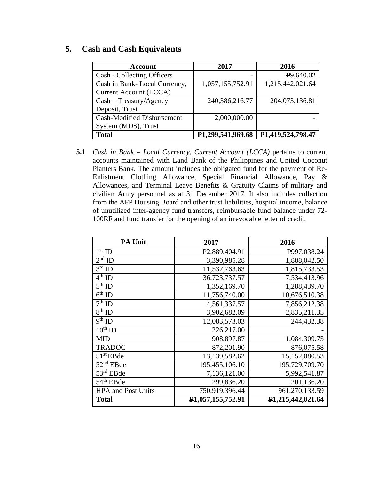### **5. Cash and Cash Equivalents**

| <b>Account</b>                    | 2017                           | 2016                   |
|-----------------------------------|--------------------------------|------------------------|
| Cash - Collecting Officers        |                                | P <sub>9</sub> ,640.02 |
| Cash in Bank-Local Currency,      | 1,057,155,752.91               | 1,215,442,021.64       |
| <b>Current Account (LCCA)</b>     |                                |                        |
| $Cash - Treasury/Agency$          | 240,386,216.77                 | 204,073,136.81         |
| Deposit, Trust                    |                                |                        |
| <b>Cash-Modified Disbursement</b> | 2,000,000.00                   |                        |
| System (MDS), Trust               |                                |                        |
| <b>Total</b>                      | P <sub>1</sub> ,299,541,969.68 | P1,419,524,798.47      |

**5.1** *Cash in Bank – Local Currency, Current Account (LCCA)* pertains to current accounts maintained with Land Bank of the Philippines and United Coconut Planters Bank. The amount includes the obligated fund for the payment of Re-Enlistment Clothing Allowance, Special Financial Allowance, Pay & Allowances, and Terminal Leave Benefits & Gratuity Claims of military and civilian Army personnel as at 31 December 2017. It also includes collection from the AFP Housing Board and other trust liabilities, hospital income, balance of unutilized inter-agency fund transfers, reimbursable fund balance under 72- 100RF and fund transfer for the opening of an irrevocable letter of credit.

| <b>PA Unit</b>            | 2017                       | 2016              |
|---------------------------|----------------------------|-------------------|
| $1st$ ID                  | P <sub>2</sub> ,889,404.91 | P997,038.24       |
| $2nd$ ID                  | 3,390,985.28               | 1,888,042.50      |
| $3rd$ ID                  | 11,537,763.63              | 1,815,733.53      |
| $4th$ ID                  | 36,723,737.57              | 7,534,413.96      |
| $5th$ ID                  | 1,352,169.70               | 1,288,439.70      |
| $6^{th}$ ID               | 11,756,740.00              | 10,676,510.38     |
| $7th$ ID                  | 4,561,337.57               | 7,856,212.38      |
| $8th$ ID                  | 3,902,682.09               | 2,835,211.35      |
| $9th$ ID                  | 12,083,573.03              | 244,432.38        |
| $10^{th}$ ID              | 226,217.00                 |                   |
| <b>MID</b>                | 908,897.87                 | 1,084,309.75      |
| <b>TRADOC</b>             | 872,201.90                 | 876,075.58        |
| $51st$ EBde               | 13,139,582.62              | 15,152,080.53     |
| 52 <sup>nd</sup> EBde     | 195,455,106.10             | 195,729,709.70    |
| $53rd$ EBde               | 7,136,121.00               | 5,992,541.87      |
| $54th$ EBde               | 299,836.20                 | 201,136.20        |
| <b>HPA</b> and Post Units | 750,919,396.44             | 961,270,133.59    |
| <b>Total</b>              | P1,057,155,752.91          | P1,215,442,021.64 |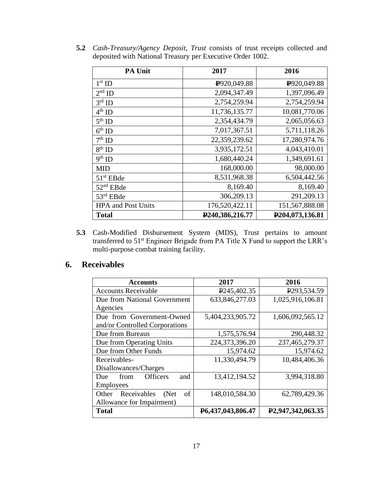| <b>PA Unit</b>            | 2017                     | 2016                         |
|---------------------------|--------------------------|------------------------------|
| $1st$ ID                  | P <sub>920</sub> ,049.88 | P <sub>920</sub> ,049.88     |
| $2nd$ ID                  | 2,094,347.49             | 1,397,096.49                 |
| $3rd$ ID                  | 2,754,259.94             | 2,754,259.94                 |
| $4^{\text{th}}$ ID        | 11,736,135.77            | 10,081,770.06                |
| $5th$ ID                  | 2,354,434.79             | 2,065,056.63                 |
| $6th$ ID                  | 7,017,367.51             | 5,711,118.26                 |
| $7^{\rm th}$ ID           | 22,359,239.62            | 17,280,974.76                |
| $8th$ ID                  | 3,935,172.51             | 4,043,410.01                 |
| $9th$ ID                  | 1,680,440.24             | 1,349,691.61                 |
| <b>MID</b>                | 168,000.00               | 98,000.00                    |
| $51st$ EBde               | 8,531,968.38             | 6,504,442.56                 |
| $52nd$ EBde               | 8,169.40                 | 8,169.40                     |
| 53rd EBde                 | 306,209.13               | 291,209.13                   |
| <b>HPA</b> and Post Units | 176,520,422.11           | 151,567,888.08               |
| <b>Total</b>              | P240,386,216.77          | P <sub>204</sub> ,073,136.81 |

**5.2** *Cash-Treasury/Agency Deposit, Trust* consists of trust receipts collected and deposited with National Treasury per Executive Order 1002.

**5.3** Cash-Modified Disbursement System (MDS), Trust pertains to amount transferred to 51<sup>st</sup> Engineer Brigade from PA Title X Fund to support the LRR's multi-purpose combat training facility.

## **6. Receivables**

| <b>Accounts</b>                       | 2017                           | 2016                           |
|---------------------------------------|--------------------------------|--------------------------------|
| <b>Accounts Receivable</b>            | P <sub>245</sub> , 402.35      | P <sub>293</sub> , 534.59      |
| Due from National Government          | 633,846,277.03                 | 1,025,916,106.81               |
| Agencies                              |                                |                                |
| Due from Government-Owned             | 5,404,233,905.72               | 1,606,092,565.12               |
| and/or Controlled Corporations        |                                |                                |
| Due from Bureaus                      | 1,575,576.94                   | 290,448.32                     |
| Due from Operating Units              | 224,373,396.20                 | 237,465,279.37                 |
| Due from Other Funds                  | 15,974.62                      | 15,974.62                      |
| Receivables-                          | 11,330,494.79                  | 10,484,406.36                  |
| Disallowances/Charges                 |                                |                                |
| <b>Officers</b><br>and<br>Due<br>from | 13,412,194.52                  | 3,994,318.80                   |
| <b>Employees</b>                      |                                |                                |
| of<br>Other<br>Receivables<br>(Net    | 148,010,584.30                 | 62,789,429.36                  |
| Allowance for Impairment)             |                                |                                |
| Total                                 | P <sub>6</sub> ,437,043,806.47 | P <sub>2</sub> ,947,342,063.35 |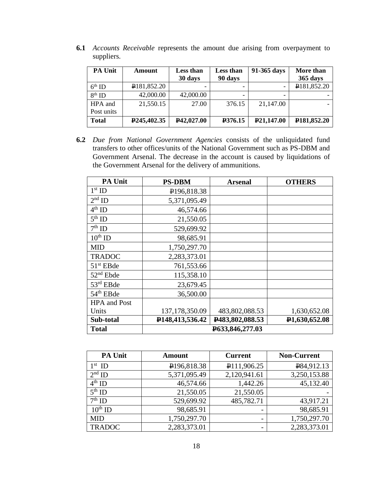| <b>PA Unit</b> | <b>Amount</b>             | Less than<br>30 days    | Less than<br>90 days | 91-365 days             | More than<br>365 days    |
|----------------|---------------------------|-------------------------|----------------------|-------------------------|--------------------------|
| $6th$ ID       | P181,852.20               |                         |                      |                         | P181,852.20              |
| $8th$ ID       | 42,000.00                 | 42,000.00               |                      |                         |                          |
| HPA and        | 21,550.15                 | 27.00                   | 376.15               | 21,147.00               |                          |
| Post units     |                           |                         |                      |                         |                          |
| <b>Total</b>   | P <sub>245</sub> , 402.35 | P <sub>42</sub> ,027.00 | P376.15              | P <sub>21</sub> ,147.00 | P <sub>181</sub> ,852.20 |

**6.1** *Accounts Receivable* represents the amount due arising from overpayment to suppliers.

**6.2** *Due from National Government Agencies* consists of the unliquidated fund transfers to other offices/units of the National Government such as PS-DBM and Government Arsenal. The decrease in the account is caused by liquidations of the Government Arsenal for the delivery of ammunitions.

| <b>PA Unit</b>        | <b>PS-DBM</b>            | <b>Arsenal</b>  | <b>OTHERS</b>              |  |
|-----------------------|--------------------------|-----------------|----------------------------|--|
| $1st$ ID              | P <sub>196</sub> ,818.38 |                 |                            |  |
| $2nd$ ID              | 5,371,095.49             |                 |                            |  |
| $4^{\text{th}}$ ID    | 46,574.66                |                 |                            |  |
| $5^{\text{th}}$ ID    | 21,550.05                |                 |                            |  |
| $7^{\rm th}$ ID       | 529,699.92               |                 |                            |  |
| $10^{th}$ ID          | 98,685.91                |                 |                            |  |
| <b>MID</b>            | 1,750,297.70             |                 |                            |  |
| <b>TRADOC</b>         | 2,283,373.01             |                 |                            |  |
| $51st$ EBde           | 761,553.66               |                 |                            |  |
| 52 <sup>nd</sup> Ebde | 115,358.10               |                 |                            |  |
| $53rd$ EBde           | 23,679.45                |                 |                            |  |
| 54 <sup>th</sup> EBde | 36,500.00                |                 |                            |  |
| <b>HPA</b> and Post   |                          |                 |                            |  |
| Units                 | 137, 178, 350.09         | 483,802,088.53  | 1,630,652.08               |  |
| Sub-total             | P148,413,536.42          | P483,802,088.53 | P <sub>1</sub> ,630,652.08 |  |
| <b>Total</b>          | P633,846,277.03          |                 |                            |  |

| <b>PA Unit</b> | <b>Amount</b>            | <b>Current</b> | <b>Non-Current</b> |
|----------------|--------------------------|----------------|--------------------|
| $1st$ ID       | P <sub>196</sub> ,818.38 | P111,906.25    | P84,912.13         |
| $2nd$ ID       | 5,371,095.49             | 2,120,941.61   | 3,250,153.88       |
| $4^{th}$ ID    | 46,574.66                | 1,442.26       | 45,132.40          |
| $5th$ ID       | 21,550.05                | 21,550.05      |                    |
| $7th$ ID       | 529,699.92               | 485,782.71     | 43,917.21          |
| $10^{th}$ ID   | 98,685.91                |                | 98,685.91          |
| <b>MID</b>     | 1,750,297.70             |                | 1,750,297.70       |
| <b>TRADOC</b>  | 2,283,373.01             |                | 2,283,373.01       |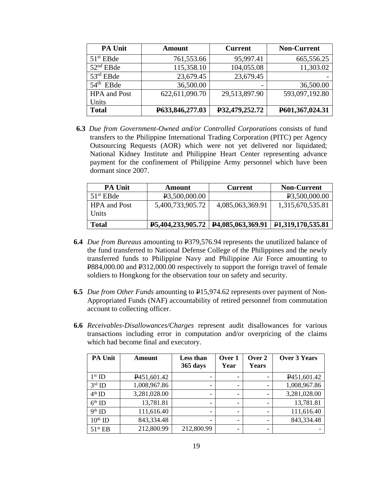| <b>PA Unit</b>      | Amount          | <b>Current</b>           | <b>Non-Current</b> |
|---------------------|-----------------|--------------------------|--------------------|
| $51st$ EBde         | 761,553.66      | 95,997.41                | 665,556.25         |
| $52nd$ EBde         | 115,358.10      | 104,055.08               | 11,303.02          |
| $53rd$ EBde         | 23,679.45       | 23,679.45                |                    |
| $54th$ EBde         | 36,500.00       | $\overline{\phantom{0}}$ | 36,500.00          |
| <b>HPA</b> and Post | 622,611,090.70  | 29,513,897.90            | 593,097,192.80     |
| Units               |                 |                          |                    |
| <b>Total</b>        | P633,846,277.03 | P32,479,252.72           | P601,367,024.31    |
|                     |                 |                          |                    |

**6.3** *Due from Government-Owned and/or Controlled Corporations* consists of fund transfers to the Philippine International Trading Corporation (PITC) per Agency Outsourcing Requests (AOR) which were not yet delivered nor liquidated; National Kidney Institute and Philippine Heart Center representing advance payment for the confinement of Philippine Army personnel which have been dormant since 2007.

| <b>PA Unit</b>               | <b>Amount</b>                                                | <b>Current</b>   | <b>Non-Current</b>             |
|------------------------------|--------------------------------------------------------------|------------------|--------------------------------|
| $51st$ EBde                  | P <sub>3</sub> ,500,000.00                                   |                  | P3.500,000.00                  |
| <b>HPA</b> and Post<br>Units | 5,400,733,905.72                                             | 4,085,063,369.91 | 1,315,670,535.81               |
| <b>Total</b>                 | $\textbf{P}5,404,233,905.72 \mid \textbf{P}4,085,063,369.91$ |                  | P <sub>1</sub> ,319,170,535.81 |

- **6.4** *Due from Bureaus* amounting to P379,576.94 represents the unutilized balance of the fund transferred to National Defense College of the Philippines and the newly transferred funds to Philippine Navy and Philippine Air Force amounting to P884,000.00 and P312,000.00 respectively to support the foreign travel of female soldiers to Hongkong for the observation tour on safety and security.
- **6.5** *Due from Other Funds* amounting to P15,974.62 represents over payment of Non-Appropriated Funds (NAF) accountability of retired personnel from commutation account to collecting officer.
- **6.6** *Receivables-Disallowances/Charges* represent audit disallowances for various transactions including error in computation and/or overpricing of the claims which had become final and executory.

| <b>PA Unit</b>      | Amount                   | Less than<br>365 days    | Over 1<br>Year           | Over 2<br>Years | <b>Over 3 Years</b>      |
|---------------------|--------------------------|--------------------------|--------------------------|-----------------|--------------------------|
| $1st$ ID            | P <sub>451</sub> ,601.42 | $\overline{\phantom{0}}$ | $\overline{\phantom{a}}$ |                 | P <sub>451</sub> ,601.42 |
| $3rd$ ID            | 1,008,967.86             | $\overline{\phantom{0}}$ | $\overline{\phantom{a}}$ |                 | 1,008,967.86             |
| $4th$ ID            | 3,281,028.00             | $\overline{\phantom{0}}$ | $\overline{\phantom{a}}$ |                 | 3,281,028.00             |
| $6th$ ID            | 13,781.81                | $\overline{\phantom{0}}$ | $\overline{\phantom{a}}$ |                 | 13,781.81                |
| $9^{\text{th}}$ ID  | 111,616.40               | $\overline{\phantom{0}}$ | $\overline{\phantom{0}}$ |                 | 111,616.40               |
| $10^{th}$ ID        | 843,334.48               | -                        | -                        |                 | 843,334.48               |
| 51 <sup>st</sup> EB | 212,800.99               | 212,800.99               | -                        | -               |                          |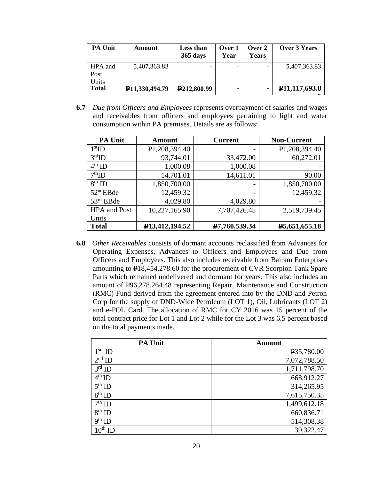| <b>PA Unit</b>           | Amount                      | <b>Less than</b><br>365 days | Over 1<br>Year | Over 2<br>Years | Over 3 Years               |
|--------------------------|-----------------------------|------------------------------|----------------|-----------------|----------------------------|
| HPA and<br>Post<br>Units | 5,407,363.83                |                              |                |                 | 5,407,363.83               |
| <b>Total</b>             | P <sub>11</sub> ,330,494.79 | P <sub>212</sub> ,800.99     |                |                 | P <sub>11</sub> ,117,693.8 |

**6.7** *Due from Officers and Employees* represents overpayment of salaries and wages and receivables from officers and employees pertaining to light and water consumption within PA premises. Details are as follows:

| <b>PA Unit</b>        | <b>Amount</b>               | <b>Current</b>           | <b>Non-Current</b>         |
|-----------------------|-----------------------------|--------------------------|----------------------------|
| 1 <sup>st</sup> ID    | P <sub>1</sub> ,208,394.40  |                          | P <sub>1</sub> ,208,394.40 |
| $3rd$ ID              | 93,744.01                   | 33,472.00                | 60,272.01                  |
| $4^{\text{th}}$ ID    | 1,000.08                    | 1,000.08                 |                            |
| $7th$ ID              | 14,701.01                   | 14,611.01                | 90.00                      |
| $8^{th}$ ID           | 1,850,700.00                | $\overline{\phantom{0}}$ | 1,850,700.00               |
| $52^{\text{nd}}$ EBde | 12,459.32                   | $\overline{\phantom{a}}$ | 12,459.32                  |
| $53rd$ EBde           | 4,029.80                    | 4,029.80                 |                            |
| <b>HPA</b> and Post   | 10,227,165.90               | 7,707,426.45             | 2,519,739.45               |
| Units                 |                             |                          |                            |
| <b>Total</b>          | P <sub>13</sub> ,412,194.52 | P7,760,539.34            | P <sub>5</sub> ,651,655.18 |

**6.8** *Other Receivables* consists of dormant accounts reclassified from Advances for Operating Expenses, Advances to Officers and Employees and Due from Officers and Employees. This also includes receivable from Bairam Enterprises amounting to P18,454,278.60 for the procurement of CVR Scorpion Tank Spare Parts which remained undelivered and dormant for years. This also includes an amount of P96,278,264.48 representing Repair, Maintenance and Construction (RMC) Fund derived from the agreement entered into by the DND and Petron Corp for the supply of DND-Wide Petroleum (LOT 1), Oil, Lubricants (LOT 2) and e-POL Card. The allocation of RMC for CY 2016 was 15 percent of the total contract price for Lot 1 and Lot 2 while for the Lot 3 was 6.5 percent based on the total payments made.

| <b>PA Unit</b>     | <b>Amount</b>           |
|--------------------|-------------------------|
| $1st$ ID           | P <sub>35</sub> ,780.00 |
| $2nd$ ID           | 7,072,788.50            |
| $3rd$ ID           | 1,711,798.70            |
| $4^{\text{th}}$ ID | 668,912.27              |
| $5th$ ID           | 314,265.95              |
| $6th$ ID           | 7,615,750.35            |
| $7th$ ID           | 1,499,612.18            |
| $8^{th}$ ID        | 660,836.71              |
| $9th$ ID           | 514,308.38              |
| $10^{\rm th}$ תו   | 39,322.47               |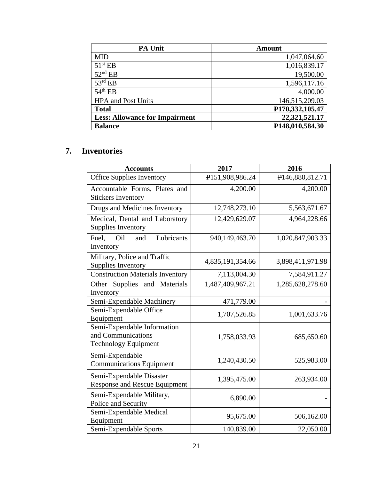| <b>PA Unit</b>                        | <b>Amount</b>   |
|---------------------------------------|-----------------|
| <b>MID</b>                            | 1,047,064.60    |
| $51^{\rm st}$ EB                      | 1,016,839.17    |
| $52nd$ EB                             | 19,500.00       |
| $53^{\text{rd}}$ EB                   | 1,596,117.16    |
| $54th$ EB                             | 4,000.00        |
| <b>HPA</b> and Post Units             | 146,515,209.03  |
| <b>Total</b>                          | P170,332,105.47 |
| <b>Less: Allowance for Impairment</b> | 22,321,521.17   |
| <b>Balance</b>                        | P148,010,584.30 |

## **7. Inventories**

| <b>Accounts</b>                                                                  | 2017             | 2016             |
|----------------------------------------------------------------------------------|------------------|------------------|
| <b>Office Supplies Inventory</b>                                                 | P151,908,986.24  | P146,880,812.71  |
| Accountable Forms, Plates and<br><b>Stickers Inventory</b>                       | 4,200.00         | 4,200.00         |
| Drugs and Medicines Inventory                                                    | 12,748,273.10    | 5,563,671.67     |
| Medical, Dental and Laboratory<br><b>Supplies Inventory</b>                      | 12,429,629.07    | 4,964,228.66     |
| Lubricants<br>Fuel.<br>Oil<br>and<br>Inventory                                   | 940,149,463.70   | 1,020,847,903.33 |
| Military, Police and Traffic<br><b>Supplies Inventory</b>                        | 4,835,191,354.66 | 3,898,411,971.98 |
| <b>Construction Materials Inventory</b>                                          | 7,113,004.30     | 7,584,911.27     |
| Other Supplies and Materials<br>Inventory                                        | 1,487,409,967.21 | 1,285,628,278.60 |
| Semi-Expendable Machinery                                                        | 471,779.00       |                  |
| Semi-Expendable Office<br>Equipment                                              | 1,707,526.85     | 1,001,633.76     |
| Semi-Expendable Information<br>and Communications<br><b>Technology Equipment</b> | 1,758,033.93     | 685,650.60       |
| Semi-Expendable<br><b>Communications Equipment</b>                               | 1,240,430.50     | 525,983.00       |
| Semi-Expendable Disaster<br><b>Response and Rescue Equipment</b>                 | 1,395,475.00     | 263,934.00       |
| Semi-Expendable Military,<br>Police and Security                                 | 6,890.00         |                  |
| Semi-Expendable Medical<br>Equipment                                             | 95,675.00        | 506,162.00       |
| Semi-Expendable Sports                                                           | 140,839.00       | 22,050.00        |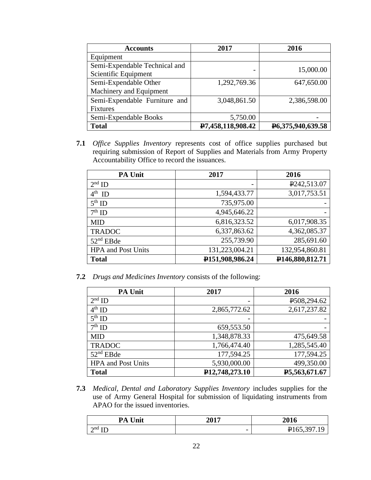| <b>Accounts</b>               | 2017              | 2016                              |
|-------------------------------|-------------------|-----------------------------------|
| Equipment                     |                   |                                   |
| Semi-Expendable Technical and |                   | 15,000.00                         |
| Scientific Equipment          |                   |                                   |
| Semi-Expendable Other         | 1,292,769.36      | 647,650.00                        |
| Machinery and Equipment       |                   |                                   |
| Semi-Expendable Furniture and | 3,048,861.50      | 2,386,598.00                      |
| Fixtures                      |                   |                                   |
| Semi-Expendable Books         | 5,750.00          |                                   |
| <b>Total</b>                  | P7,458,118,908.42 | P <sub>6</sub> , 375, 940, 639.58 |

**7.1** *Office Supplies Inventory* represents cost of office supplies purchased but requiring submission of Report of Supplies and Materials from Army Property Accountability Office to record the issuances.

| <b>PA Unit</b>            | 2017            | 2016                      |
|---------------------------|-----------------|---------------------------|
| $2nd$ ID                  |                 | P <sub>242</sub> , 513.07 |
| $4^{th}$ ID               | 1,594,433.77    | 3,017,753.51              |
| $5^{\text{th}}$ ID        | 735,975.00      |                           |
| $7th$ ID                  | 4,945,646.22    |                           |
| <b>MID</b>                | 6,816,323.52    | 6,017,908.35              |
| <b>TRADOC</b>             | 6,337,863.62    | 4,362,085.37              |
| $52nd$ EBde               | 255,739.90      | 285,691.60                |
| <b>HPA</b> and Post Units | 131,223,004.21  | 132,954,860.81            |
| <b>Total</b>              | P151,908,986.24 | P146,880,812.71           |

**7.2** *Drugs and Medicines Inventory* consists of the following:

| <b>PA Unit</b>            | 2017                        | 2016          |
|---------------------------|-----------------------------|---------------|
| $2nd$ ID                  |                             | P508,294.62   |
| $4th$ ID                  | 2,865,772.62                | 2,617,237.82  |
| $5th$ ID                  |                             |               |
| $7th$ ID                  | 659,553.50                  |               |
| <b>MID</b>                | 1,348,878.33                | 475,649.58    |
| <b>TRADOC</b>             | 1,766,474.40                | 1,285,545.40  |
| $52nd$ EBde               | 177,594.25                  | 177,594.25    |
| <b>HPA</b> and Post Units | 5,930,000.00                | 499,350.00    |
| <b>Total</b>              | P <sub>12</sub> ,748,273.10 | P5,563,671.67 |

**7.3** *Medical, Dental and Laboratory Supplies Inventory* includes supplies for the use of Army General Hospital for submission of liquidating instruments from APAO for the issued inventories.

| <b>PA Unit</b>         | 2017                     | 2016        |
|------------------------|--------------------------|-------------|
| $\gamma$ nd t $\Gamma$ | $\overline{\phantom{0}}$ | ₽165,397.19 |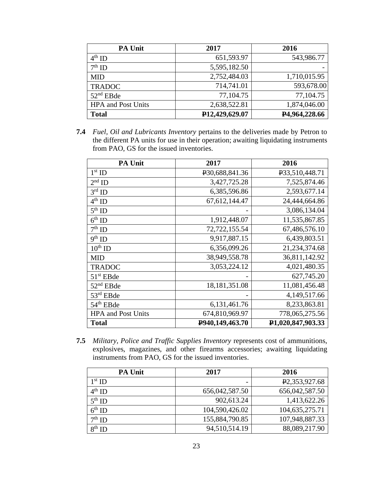| <b>PA Unit</b>            | 2017                        | 2016                       |
|---------------------------|-----------------------------|----------------------------|
| $4^{th}$ ID               | 651,593.97                  | 543,986.77                 |
| $7th$ ID                  | 5,595,182.50                |                            |
| <b>MID</b>                | 2,752,484.03                | 1,710,015.95               |
| <b>TRADOC</b>             | 714,741.01                  | 593,678.00                 |
| $52nd$ EBde               | 77,104.75                   | 77,104.75                  |
| <b>HPA</b> and Post Units | 2,638,522.81                | 1,874,046.00               |
| <b>Total</b>              | P <sub>12</sub> ,429,629.07 | P <sub>4</sub> ,964,228.66 |

**7.4** *Fuel, Oil and Lubricants Inventory* pertains to the deliveries made by Petron to the different PA units for use in their operation; awaiting liquidating instruments from PAO, GS for the issued inventories.

| <b>PA Unit</b>            | 2017             | 2016              |
|---------------------------|------------------|-------------------|
| $1st$ ID                  | P30,688,841.36   | P33,510,448.71    |
| $2nd$ ID                  | 3,427,725.28     | 7,525,874.46      |
| $3rd$ ID                  | 6,385,596.86     | 2,593,677.14      |
| $4^{\text{th}}$ ID        | 67, 612, 144. 47 | 24,444,664.86     |
| $5th$ ID                  |                  | 3,086,134.04      |
| $6th$ ID                  | 1,912,448.07     | 11,535,867.85     |
| $7th$ ID                  | 72,722,155.54    | 67,486,576.10     |
| $9th$ ID                  | 9,917,887.15     | 6,439,803.51      |
| $10^{th}$ ID              | 6,356,099.26     | 21,234,374.68     |
| <b>MID</b>                | 38,949,558.78    | 36,811,142.92     |
| <b>TRADOC</b>             | 3,053,224.12     | 4,021,480.35      |
| $51st$ EBde               |                  | 627,745.20        |
| $52nd$ EBde               | 18, 181, 351.08  | 11,081,456.48     |
| 53rd EBde                 |                  | 4,149,517.66      |
| 54 <sup>th</sup> EBde     | 6,131,461.76     | 8,233,863.81      |
| <b>HPA</b> and Post Units | 674,810,969.97   | 778,065,275.56    |
| <b>Total</b>              | P940,149,463.70  | P1,020,847,903.33 |

**7.5** *Military, Police and Traffic Supplies Inventory* represents cost of ammunitions, explosives, magazines, and other firearms accessories; awaiting liquidating instruments from PAO, GS for the issued inventories.

| <b>PA Unit</b>     | 2017           | 2016                       |
|--------------------|----------------|----------------------------|
| $1st$ ID           | -              | P <sub>2</sub> ,353,927.68 |
| $4^{\text{th}}$ ID | 656,042,587.50 | 656,042,587.50             |
| $5th$ ID           | 902,613.24     | 1,413,622.26               |
| $6^{\text{th}}$ ID | 104,590,426.02 | 104,635,275.71             |
| $7th$ ID           | 155,884,790.85 | 107,948,887.33             |
| $8^{th}$ ID        | 94,510,514.19  | 88,089,217.90              |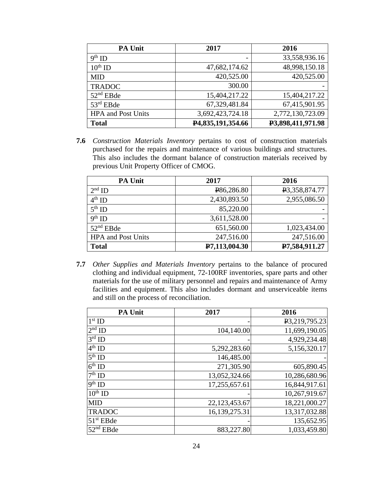| PA Unit                   | 2017              | 2016              |
|---------------------------|-------------------|-------------------|
| $9th$ ID                  |                   | 33,558,936.16     |
| $10^{th}$ ID              | 47,682,174.62     | 48,998,150.18     |
| <b>MID</b>                | 420,525.00        | 420,525.00        |
| <b>TRADOC</b>             | 300.00            |                   |
| $52nd$ EBde               | 15,404,217.22     | 15,404,217.22     |
| $53rd$ EBde               | 67,329,481.84     | 67,415,901.95     |
| <b>HPA</b> and Post Units | 3,692,423,724.18  | 2,772,130,723.09  |
| <b>Total</b>              | P4,835,191,354.66 | P3,898,411,971.98 |

**7.6** *Construction Materials Inventory* pertains to cost of construction materials purchased for the repairs and maintenance of various buildings and structures. This also includes the dormant balance of construction materials received by previous Unit Property Officer of CMOG.

| <b>PA Unit</b>            | 2017          | 2016          |
|---------------------------|---------------|---------------|
| $2nd$ ID                  | P86,286.80    | P3,358,874.77 |
| $4^{th}$ ID               | 2,430,893.50  | 2,955,086.50  |
| $5th$ ID                  | 85,220.00     |               |
| $9th$ ID                  | 3,611,528.00  |               |
| $52nd$ EBde               | 651,560.00    | 1,023,434.00  |
| <b>HPA</b> and Post Units | 247,516.00    | 247,516.00    |
| <b>Total</b>              | P7,113,004.30 | P7,584,911.27 |

**7.7** *Other Supplies and Materials Inventory* pertains to the balance of procured clothing and individual equipment, 72-100RF inventories, spare parts and other materials for the use of military personnel and repairs and maintenance of Army facilities and equipment. This also includes dormant and unserviceable items and still on the process of reconciliation.

| <b>PA Unit</b> | 2017          | 2016          |
|----------------|---------------|---------------|
| $1st$ ID       |               | P3,219,795.23 |
| $2nd$ ID       | 104,140.00    | 11,699,190.05 |
| $3rd$ ID       |               | 4,929,234.48  |
| $4th$ ID       | 5,292,283.60  | 5,156,320.17  |
| $5th$ ID       | 146,485.00    |               |
| $6th$ ID       | 271,305.90    | 605,890.45    |
| $7th$ ID       | 13,052,324.66 | 10,286,680.96 |
| $9th$ ID       | 17,255,657.61 | 16,844,917.61 |
| $10^{th}$ ID   |               | 10,267,919.67 |
| <b>MID</b>     | 22,123,453.67 | 18,221,000.27 |
| <b>TRADOC</b>  | 16,139,275.31 | 13,317,032.88 |
| $51st$ EBde    |               | 135,652.95    |
| $52nd$ EBde    | 883,227.80    | 1,033,459.80  |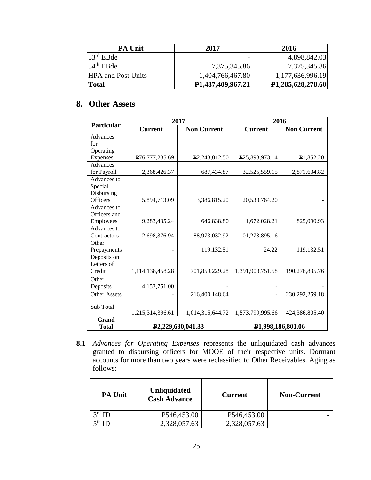| <b>PA Unit</b>            | 2017                           | 2016                           |
|---------------------------|--------------------------------|--------------------------------|
| $53rd$ EBde               |                                | 4,898,842.03                   |
| $54th$ EBde               | 7,375,345.86                   | 7,375,345.86                   |
| <b>HPA</b> and Post Units | 1,404,766,467.80               | 1,177,636,996.19               |
| <b>Total</b>              | P <sub>1</sub> ,487,409,967.21 | P <sub>1</sub> ,285,628,278.60 |

## **8.** .**Other Assets**

|                     | 2017             |                                | 2016                          |                    |
|---------------------|------------------|--------------------------------|-------------------------------|--------------------|
| <b>Particular</b>   | <b>Current</b>   | <b>Non Current</b>             | <b>Current</b>                | <b>Non Current</b> |
| Advances            |                  |                                |                               |                    |
| for                 |                  |                                |                               |                    |
| Operating           |                  |                                |                               |                    |
| Expenses            | P76,777,235.69   | P <sub>2</sub> ,243,012.50     | P25,893,973.14                | P1,852.20          |
| Advances            |                  |                                |                               |                    |
| for Payroll         | 2,368,426.37     | 687,434.87                     | 32,525,559.15                 | 2,871,634.82       |
| Advances to         |                  |                                |                               |                    |
| Special             |                  |                                |                               |                    |
| Disbursing          |                  |                                |                               |                    |
| <b>Officers</b>     | 5,894,713.09     | 3,386,815.20                   | 20,530,764.20                 |                    |
| Advances to         |                  |                                |                               |                    |
| Officers and        |                  |                                |                               |                    |
| Employees           | 9,283,435.24     | 646,838.80                     | 1,672,028.21                  | 825,090.93         |
| Advances to         |                  |                                |                               |                    |
| Contractors         | 2,698,376.94     | 88,973,032.92                  | 101,273,895.16                |                    |
| Other               |                  |                                |                               |                    |
| Prepayments         |                  | 119,132.51                     | 24.22                         | 119,132.51         |
| Deposits on         |                  |                                |                               |                    |
| Letters of          |                  |                                |                               |                    |
| Credit              | 1,114,138,458.28 | 701,859,229.28                 | 1,391,903,751.58              | 190,276,835.76     |
| Other               |                  |                                |                               |                    |
| Deposits            | 4,153,751.00     |                                |                               |                    |
| <b>Other Assets</b> |                  | 216,400,148.64                 |                               | 230, 292, 259. 18  |
|                     |                  |                                |                               |                    |
| Sub Total           |                  |                                |                               |                    |
| <b>Grand</b>        | 1,215,314,396.61 | 1,014,315,644.72               | 1,573,799,995.66              | 424,386,805.40     |
|                     |                  |                                |                               |                    |
| <b>Total</b>        |                  | P <sub>2</sub> ,229,630,041.33 | P <sub>1,998,186,801.06</sub> |                    |

**8.1** *Advances for Operating Expenses* represents the unliquidated cash advances granted to disbursing officers for MOOE of their respective units. Dormant accounts for more than two years were reclassified to Other Receivables. Aging as follows:

| <b>PA Unit</b>  | <b>Unliquidated</b><br><b>Cash Advance</b> | <b>Current</b>           | <b>Non-Current</b> |
|-----------------|--------------------------------------------|--------------------------|--------------------|
| $3^{\rm rd}$ ID | P546,453.00                                | P <sub>546</sub> ,453.00 |                    |
| ≂th.            | 2,328,057.63                               | 2,328,057.63             |                    |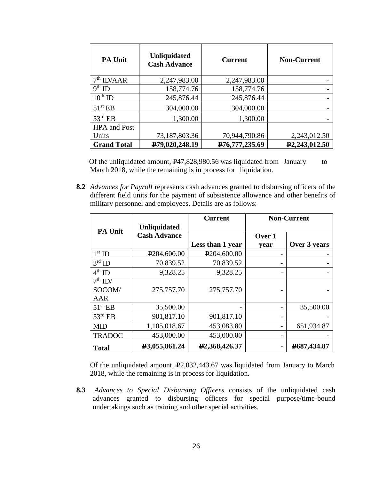| <b>PA Unit</b>         | <b>Unliquidated</b><br><b>Cash Advance</b> | <b>Current</b> | <b>Non-Current</b>         |
|------------------------|--------------------------------------------|----------------|----------------------------|
| 7 <sup>th</sup> ID/AAR | 2,247,983.00                               | 2,247,983.00   |                            |
| $9th$ ID               | 158,774.76                                 | 158,774.76     |                            |
| $10^{th}$ ID           | 245,876.44                                 | 245,876.44     |                            |
| $51^{\rm st}$ EB       | 304,000.00                                 | 304,000.00     |                            |
| $53^{\text{rd}}$ EB    | 1,300.00                                   | 1,300.00       |                            |
| <b>HPA</b> and Post    |                                            |                |                            |
| Units                  | 73,187,803.36                              | 70,944,790.86  | 2,243,012.50               |
| <b>Grand Total</b>     | P79,020,248.19                             | P76,777,235.69 | P <sub>2</sub> ,243,012.50 |

Of the unliquidated amount, P47,828,980.56 was liquidated from January to March 2018, while the remaining is in process for liquidation.

**8.2** *Advances for Payroll* represents cash advances granted to disbursing officers of the different field units for the payment of subsistence allowance and other benefits of military personnel and employees. Details are as follows:

|                     |                          | <b>Current</b>             |        | <b>Non-Current</b> |
|---------------------|--------------------------|----------------------------|--------|--------------------|
| <b>PA Unit</b>      | <b>Unliquidated</b>      |                            |        |                    |
|                     | <b>Cash Advance</b>      |                            | Over 1 |                    |
|                     |                          | Less than 1 year           | year   | Over 3 years       |
| $1st$ ID            | P <sub>204</sub> ,600.00 | P <sub>204,600.00</sub>    |        |                    |
| $3rd$ ID            | 70,839.52                | 70,839.52                  |        |                    |
| $4th$ ID            | 9,328.25                 | 9,328.25                   |        |                    |
| $7th$ ID/           |                          |                            |        |                    |
| SOCOM/              | 275,757.70               | 275,757.70                 |        |                    |
| AAR                 |                          |                            |        |                    |
| 51 <sup>st</sup> EB | 35,500.00                |                            |        | 35,500.00          |
| $53^{\text{rd}}$ EB | 901,817.10               | 901,817.10                 |        |                    |
| <b>MID</b>          | 1,105,018.67             | 453,083.80                 |        | 651,934.87         |
| <b>TRADOC</b>       | 453,000.00               | 453,000.00                 |        |                    |
| <b>Total</b>        | P3,055,861.24            | P <sub>2</sub> ,368,426.37 |        | P687,434.87        |

Of the unliquidated amount, P2,032,443.67 was liquidated from January to March 2018, while the remaining is in process for liquidation.

**8.3** *.Advances to Special Disbursing Officers* consists of the unliquidated cash advances granted to disbursing officers for special purpose/time-bound undertakings such as training and other special activities.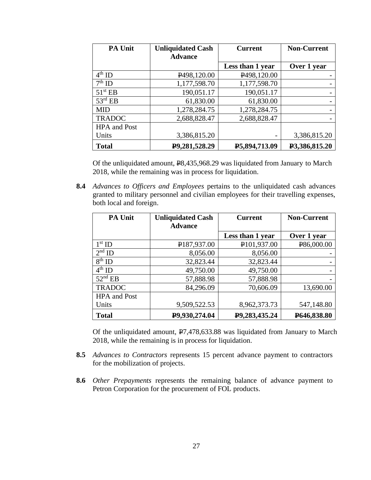| <b>PA Unit</b>      | <b>Unliquidated Cash</b> | <b>Current</b>           | <b>Non-Current</b> |
|---------------------|--------------------------|--------------------------|--------------------|
|                     | <b>Advance</b>           |                          |                    |
|                     |                          | Less than 1 year         | Over 1 year        |
| $4^{\text{th}}$ ID  | P <sub>498</sub> ,120.00 | P <sub>498</sub> ,120.00 |                    |
| $7th$ ID            | 1,177,598.70             | 1,177,598.70             |                    |
| $51st$ EB           | 190,051.17               | 190,051.17               |                    |
| $53^{\text{rd}}$ EB | 61,830.00                | 61,830.00                |                    |
| <b>MID</b>          | 1,278,284.75             | 1,278,284.75             |                    |
| <b>TRADOC</b>       | 2,688,828.47             | 2,688,828.47             |                    |
| <b>HPA</b> and Post |                          |                          |                    |
| Units               | 3,386,815.20             |                          | 3,386,815.20       |
| <b>Total</b>        | P9,281,528.29            | P5,894,713.09            | P3,386,815.20      |

Of the unliquidated amount, P8,435,968.29 was liquidated from January to March 2018, while the remaining was in process for liquidation.

**8.4** *Advances to Officers and Employees* pertains to the unliquidated cash advances granted to military personnel and civilian employees for their travelling expenses, both local and foreign.

| PA Unit             | <b>Unliquidated Cash</b> | <b>Current</b>          | <b>Non-Current</b> |
|---------------------|--------------------------|-------------------------|--------------------|
|                     | <b>Advance</b>           |                         |                    |
|                     |                          | Less than 1 year        | Over 1 year        |
| $1st$ ID            | P <sub>187,937.00</sub>  | P <sub>101,937.00</sub> | P86,000.00         |
| $2nd$ ID            | 8,056.00                 | 8,056.00                |                    |
| $8th$ ID            | 32,823.44                | 32,823.44               |                    |
| $4th$ ID            | 49,750.00                | 49,750.00               |                    |
| $52nd$ EB           | 57,888.98                | 57,888.98               |                    |
| <b>TRADOC</b>       | 84,296.09                | 70,606.09               | 13,690.00          |
| <b>HPA</b> and Post |                          |                         |                    |
| Units               | 9,509,522.53             | 8,962,373.73            | 547,148.80         |
| <b>Total</b>        | P9,930,274.04            | P9,283,435.24           | P646,838.80        |

Of the unliquidated amount,  $\overline{P7,478,633.88}$  was liquidated from January to March 2018, while the remaining is in process for liquidation.

- **8.5** *Advances to Contractors* represents 15 percent advance payment to contractors for the mobilization of projects.
- **8.6** *Other Prepayments* represents the remaining balance of advance payment to Petron Corporation for the procurement of FOL products.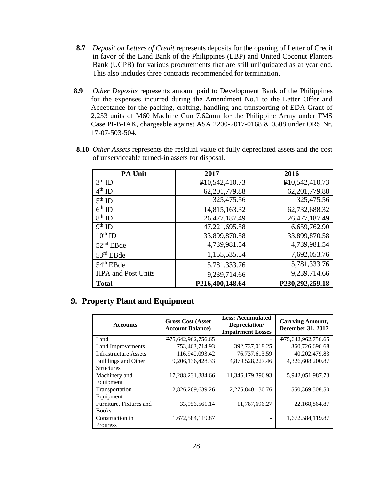- **8.7** *Deposit on Letters of Credit* represents deposits for the opening of Letter of Credit in favor of the Land Bank of the Philippines (LBP) and United Coconut Planters Bank (UCPB) for various procurements that are still unliquidated as at year end. This also includes three contracts recommended for termination.
- **8.9** *Other Deposits* represents amount paid to Development Bank of the Philippines for the expenses incurred during the Amendment No.1 to the Letter Offer and Acceptance for the packing, crafting, handling and transporting of EDA Grant of 2,253 units of M60 Machine Gun 7.62mm for the Philippine Army under FMS Case PI-B-IAK, chargeable against ASA 2200-2017-0168 & 0508 under ORS Nr. 17-07-503-504.

| PA Unit                   | 2017            | 2016            |
|---------------------------|-----------------|-----------------|
| $3rd$ ID                  | P10,542,410.73  | P10,542,410.73  |
| $4th$ ID                  | 62, 201, 779.88 | 62,201,779.88   |
| $5th$ ID                  | 325,475.56      | 325,475.56      |
| $6th$ ID                  | 14,815,163.32   | 62,732,688.32   |
| $8th$ ID                  | 26,477,187.49   | 26,477,187.49   |
| $9th$ ID                  | 47,221,695.58   | 6,659,762.90    |
| $10^{th}$ ID              | 33,899,870.58   | 33,899,870.58   |
| $52nd$ EBde               | 4,739,981.54    | 4,739,981.54    |
| $53rd$ EBde               | 1,155,535.54    | 7,692,053.76    |
| $54th$ EBde               | 5,781,333.76    | 5,781,333.76    |
| <b>HPA</b> and Post Units | 9,239,714.66    | 9,239,714.66    |
| <b>Total</b>              | P216,400,148.64 | P230,292,259.18 |

**8.10** *Other Assets* represents the residual value of fully depreciated assets and the cost of unserviceable turned-in assets for disposal.

## **9. Property Plant and Equipment**

| <b>Accounts</b>              | <b>Gross Cost (Asset</b><br><b>Account Balance</b> ) | <b>Less: Accumulated</b><br>Depreciation/<br><b>Impairment Losses</b> | <b>Carrying Amount,</b><br><b>December 31, 2017</b> |
|------------------------------|------------------------------------------------------|-----------------------------------------------------------------------|-----------------------------------------------------|
| Land                         | P75,642,962,756.65                                   |                                                                       | P75,642,962,756.65                                  |
| Land Improvements            | 753,463,714.93                                       | 392,737,018.25                                                        | 360,726,696.68                                      |
| <b>Infrastructure Assets</b> | 116,940,093.42                                       | 76,737,613.59                                                         | 40,202,479.83                                       |
| Buildings and Other          | 9,206,136,428.33                                     | 4,879,528,227.46                                                      | 4,326,608,200.87                                    |
| <b>Structures</b>            |                                                      |                                                                       |                                                     |
| Machinery and                | 17,288,231,384.66                                    | 11,346,179,396.93                                                     | 5,942,051,987.73                                    |
| Equipment                    |                                                      |                                                                       |                                                     |
| Transportation               | 2,826,209,639.26                                     | 2,275,840,130.76                                                      | 550,369,508.50                                      |
| Equipment                    |                                                      |                                                                       |                                                     |
| Furniture, Fixtures and      | 33,956,561.14                                        | 11,787,696.27                                                         | 22,168,864.87                                       |
| <b>Books</b>                 |                                                      |                                                                       |                                                     |
| Construction in              | 1,672,584,119.87                                     |                                                                       | 1,672,584,119.87                                    |
| Progress                     |                                                      |                                                                       |                                                     |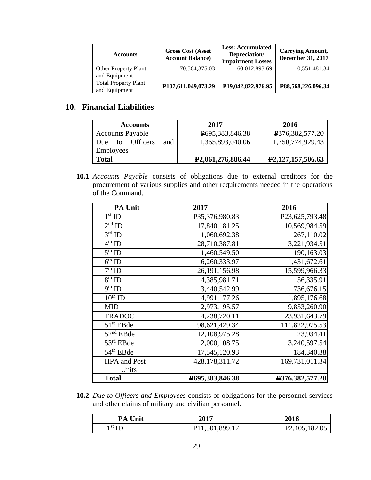| <b>Accounts</b>                              | <b>Gross Cost (Asset</b><br><b>Account Balance</b> ) | <b>Less: Accumulated</b><br>Depreciation/<br><b>Impairment Losses</b> | <b>Carrying Amount,</b><br><b>December 31, 2017</b> |
|----------------------------------------------|------------------------------------------------------|-----------------------------------------------------------------------|-----------------------------------------------------|
| Other Property Plant                         | 70,564,375.03                                        | 60,012,893.69                                                         | 10,551,481.34                                       |
| and Equipment                                |                                                      |                                                                       |                                                     |
| <b>Total Property Plant</b><br>and Equipment | P107,611,049,073.29                                  | P <sub>19</sub> ,042,822,976.95                                       | P88,568,226,096.34                                  |

## **10. Financial Liabilities**

| <b>Accounts</b>                     | 2017                           | 2016              |
|-------------------------------------|--------------------------------|-------------------|
| <b>Accounts Payable</b>             | P695,383,846.38                | P376,382,577.20   |
| <b>Officers</b><br>and<br>Due<br>tΩ | 1,365,893,040.06               | 1,750,774,929.43  |
| <b>Employees</b>                    |                                |                   |
| <b>Total</b>                        | P <sub>2</sub> ,061,276,886.44 | P2,127,157,506.63 |

**10.1** *Accounts Payable* consists of obligations due to external creditors for the procurement of various supplies and other requirements needed in the operations of the Command.

| <b>PA Unit</b>                  | 2017                          | 2016                           |
|---------------------------------|-------------------------------|--------------------------------|
| $1st$ ID                        | P <sub>35</sub> , 376, 980.83 | P <sub>23</sub> , 625, 793. 48 |
| $2nd$ ID                        | 17,840,181.25                 | 10,569,984.59                  |
| $3rd$ ID                        | 1,060,692.38                  | 267,110.02                     |
| $4^{\text{th}}$ ID              | 28,710,387.81                 | 3,221,934.51                   |
| $\overline{5^{th}$ ID           | 1,460,549.50                  | 190,163.03                     |
| $6th$ ID                        | 6,260,333.97                  | 1,431,672.61                   |
| $7th$ ID                        | 26, 191, 156. 98              | 15,599,966.33                  |
| $8^{th}$ ID                     | 4,385,981.71                  | 56,335.91                      |
| $\overline{9}$ <sup>th</sup> ID | 3,440,542.99                  | 736,676.15                     |
| $10^{th}$ ID                    | 4,991,177.26                  | 1,895,176.68                   |
| <b>MID</b>                      | 2,973,195.57                  | 9,853,260.90                   |
| <b>TRADOC</b>                   | 4,238,720.11                  | 23,931,643.79                  |
| $51st$ EBde                     | 98,621,429.34                 | 111,822,975.53                 |
| $52nd$ EBde                     | 12,108,975.28                 | 23,934.41                      |
| 53rd EBde                       | 2,000,108.75                  | 3,240,597.54                   |
| 54 <sup>th</sup> EBde           | 17,545,120.93                 | 184,340.38                     |
| <b>HPA</b> and Post             | 428,178,311.72                | 169,731,011.34                 |
| Units                           |                               |                                |
| <b>Total</b>                    | P695,383,846.38               | P376,382,577.20                |

**10.2** *Due to Officers and Employees* consists of obligations for the personnel services and other claims of military and civilian personnel.

| <b>PA Unit</b> | <b>2017</b>                 | 2016                       |
|----------------|-----------------------------|----------------------------|
| $1st$ ID       | P <sub>11,501</sub> ,899.17 | P <sub>2</sub> ,405,182.05 |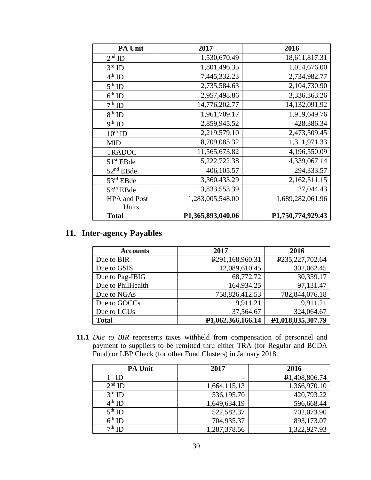| <b>PA Unit</b>        | 2017              | 2016              |
|-----------------------|-------------------|-------------------|
| $2nd$ ID              | 1,530,670.49      | 18,611,817.31     |
| $3rd$ ID              | 1,801,496.35      | 1,014,676.00      |
| $4^{th}$ ID           | 7,445,332.23      | 2,734,982.77      |
| $5th$ ID              | 2,735,584.63      | 2,104,730.90      |
| $6th$ ID              | 2,957,498.86      | 3,336,363.26      |
| $7^{\rm th}$ ID       | 14,776,202.77     | 14,132,091.92     |
| $8th$ ID              | 1,961,709.17      | 1,919,649.76      |
| $9^{\text{th}}$ ID    | 2,859,945.52      | 428,386.34        |
| $10^{th}$ ID          | 2,219,579.10      | 2,473,509.45      |
| <b>MID</b>            | 8,709,085.32      | 1,311,971.33      |
| <b>TRADOC</b>         | 11,565,673.82     | 4,196,550.09      |
| 51 <sup>st</sup> EBde | 5,222,722.38      | 4,339,067.14      |
| $52nd$ EBde           | 406,105.57        | 294,333.57        |
| 53rd EBde             | 3,360,433.29      | 2,162,511.15      |
| 54 <sup>th</sup> EBde | 3,833,553.39      | 27,044.43         |
| <b>HPA</b> and Post   | 1,283,005,548.00  | 1,689,282,061.96  |
| Units                 |                   |                   |
| <b>Total</b>          | P1,365,893,040.06 | P1,750,774,929.43 |

## **11. Inter-agency Payables**

| <b>Accounts</b>   | 2017                         | 2016              |
|-------------------|------------------------------|-------------------|
| Due to BIR        | P <sub>291</sub> ,168,960.31 | P235,227,702.64   |
| Due to GSIS       | 12,089,610.45                | 302,062.45        |
| Due to Pag-IBIG   | 68,772.72                    | 30,359.17         |
| Due to PhilHealth | 164,934.25                   | 97,131.47         |
| Due to NGAs       | 758,826,412.53               | 782,844,076.18    |
| Due to GOCCs      | 9,911.21                     | 9,911.21          |
| Due to LGUs       | 37,564.67                    | 324,064.67        |
| <b>Total</b>      | P1,062,366,166.14            | P1,018,835,307.79 |

**11.1** *Due to BIR* represents taxes withheld from compensation of personnel and payment to suppliers to be remitted thru either TRA (for Regular and BCDA Fund) or LBP Check (for other Fund Clusters) in January 2018.

| <b>PA Unit</b>     | 2017         | 2016                       |
|--------------------|--------------|----------------------------|
| $1st$ ID           | -            | P <sub>1</sub> ,408,806.74 |
| $2nd$ ID           | 1,664,115.13 | 1,366,970.10               |
| $3^{\text{rd}}$ ID | 536,195.70   | 420,793.22                 |
| $4^{th}$ ID        | 1,649,634.19 | 596,668.44                 |
| $5^{th}$ ID        | 522,582.37   | 702,073.90                 |
| $6^{\text{th}}$ ID | 704,935.37   | 893,173.07                 |
| $7th$ ID           | 1,287,378.56 | 1,322,927.93               |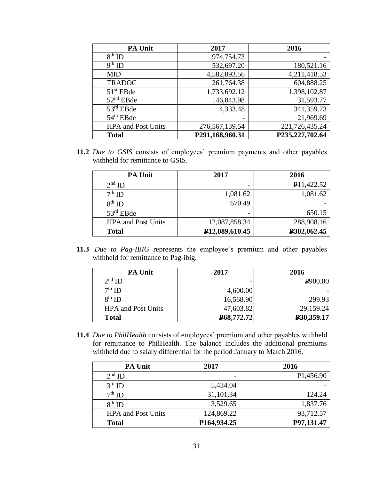| <b>PA Unit</b>            | 2017                         | 2016            |
|---------------------------|------------------------------|-----------------|
| $8th$ ID                  | 974,754.73                   |                 |
| $9th$ ID                  | 532,697.20                   | 180,521.16      |
| <b>MID</b>                | 4,582,893.56                 | 4,211,418.53    |
| <b>TRADOC</b>             | 261,764.38                   | 604,888.25      |
| $51st$ EBde               | 1,733,692.12                 | 1,398,102.87    |
| $52nd$ EBde               | 146,843.98                   | 31,593.77       |
| $53rd$ EBde               | 4,333.48                     | 341,359.73      |
| 54 <sup>th</sup> EBde     |                              | 21,969.69       |
| <b>HPA</b> and Post Units | 276, 567, 139. 54            | 221,726,435.24  |
| <b>Total</b>              | P <sub>291</sub> ,168,960.31 | P235,227,702.64 |

**11.2** *Due to GSIS* consists of employees' premium payments and other payables withheld for remittance to GSIS.

| <b>PA Unit</b>            | 2017                        | 2016        |
|---------------------------|-----------------------------|-------------|
| $2nd$ ID                  | -                           | P11,422.52  |
| $7th$ ID                  | 1,081.62                    | 1,081.62    |
| $8th$ ID                  | 670.49                      |             |
| $53rd$ EBde               | -                           | 650.15      |
| <b>HPA</b> and Post Units | 12,087,858.34               | 288,908.16  |
| <b>Total</b>              | P <sub>12</sub> ,089,610.45 | P302,062.45 |

11.3 *Due to Pag-IBIG* represents the employee's premium and other payables withheld for remittance to Pag-ibig.

| <b>PA Unit</b>            | 2017       | 2016       |
|---------------------------|------------|------------|
| $2nd$ ID                  |            | P900.00    |
| $7th$ ID                  | 4,600.00   |            |
| $8th$ ID                  | 16,568.90  | 299.93     |
| <b>HPA</b> and Post Units | 47,603.82  | 29,159.24  |
| <b>Total</b>              | P68,772.72 | P30,359.17 |

**11.4** *Due to PhilHealth* consists of employees' premium and other payables withheld for remittance to PhilHealth. The balance includes the additional premiums withheld due to salary differential for the period January to March 2016.

| <b>PA Unit</b>            | 2017                      | 2016                   |
|---------------------------|---------------------------|------------------------|
| $2nd$ ID                  |                           | P <sub>1</sub> ,456.90 |
| $3rd$ ID                  | 5,434.04                  |                        |
| $7th$ ID                  | 31,101.34                 | 124.24                 |
| $8th$ ID                  | 3,529.65                  | 1,837.76               |
| <b>HPA</b> and Post Units | 124,869.22                | 93,712.57              |
| <b>Total</b>              | P <sub>164</sub> , 934.25 | P97,131.47             |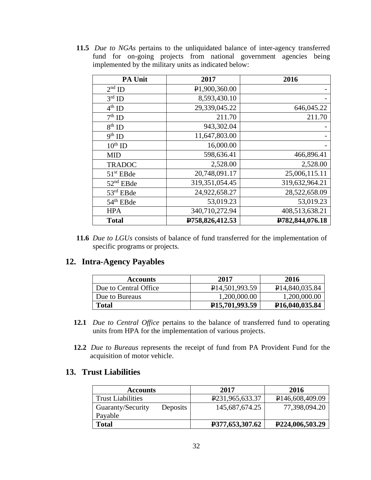**11.5** *Due to NGAs* pertains to the unliquidated balance of inter-agency transferred fund for on-going projects from national government agencies being implemented by the military units as indicated below:

| <b>PA Unit</b>        | 2017                       | 2016            |
|-----------------------|----------------------------|-----------------|
| $2nd$ ID              | P <sub>1</sub> ,900,360.00 |                 |
| $3rd$ ID              | 8,593,430.10               |                 |
| $4^{\text{th}}$ ID    | 29,339,045.22              | 646,045.22      |
| $7th$ ID              | 211.70                     | 211.70          |
| $8th$ ID              | 943,302.04                 |                 |
| $9th$ ID              | 11,647,803.00              |                 |
| $10^{th}$ ID          | 16,000.00                  |                 |
| <b>MID</b>            | 598,636.41                 | 466,896.41      |
| <b>TRADOC</b>         | 2,528.00                   | 2,528.00        |
| $51st$ EBde           | 20,748,091.17              | 25,006,115.11   |
| $52nd$ EBde           | 319, 351, 054. 45          | 319,632,964.21  |
| $53rd$ EBde           | 24,922,658.27              | 28,522,658.09   |
| 54 <sup>th</sup> EBde | 53,019.23                  | 53,019.23       |
| <b>HPA</b>            | 340,710,272.94             | 408,513,638.21  |
| <b>Total</b>          | P758,826,412.53            | P782,844,076.18 |

**11.6** *Due to LGUs* consists of balance of fund transferred for the implementation of specific programs or projects*.* 

### **12. Intra-Agency Payables**

| <b>Accounts</b>       | 2017                          | 2016                        |
|-----------------------|-------------------------------|-----------------------------|
| Due to Central Office | P <sub>14,501</sub> ,993.59   | P <sub>14</sub> ,840,035.84 |
| Due to Bureaus        | 1,200,000.00                  | 1,200,000.00                |
| <b>Total</b>          | P <sub>15</sub> , 701, 993.59 | P <sub>16</sub> ,040,035.84 |

- **12.1** *Due to Central Office* pertains to the balance of transferred fund to operating units from HPA for the implementation of various projects.
- **12.2** *Due to Bureaus* represents the receipt of fund from PA Provident Fund for the acquisition of motor vehicle.

#### **13. Trust Liabilities**

| <b>Accounts</b>          |          | 2017                         | 2016                         |
|--------------------------|----------|------------------------------|------------------------------|
| <b>Trust Liabilities</b> |          | P <sub>231,965</sub> ,633.37 | P <sub>146</sub> ,608,409.09 |
| Guaranty/Security        | Deposits | 145,687,674.25               | 77,398,094.20                |
| Payable                  |          |                              |                              |
| <b>Total</b>             |          | P377,653,307.62              | P <sub>224</sub> ,006,503.29 |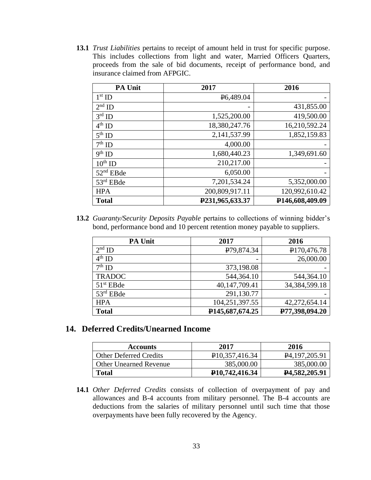**13.1** *Trust Liabilities* pertains to receipt of amount held in trust for specific purpose. This includes collections from light and water, Married Officers Quarters, proceeds from the sale of bid documents, receipt of performance bond, and insurance claimed from AFPGIC.

| <b>PA Unit</b> | 2017                   | 2016            |
|----------------|------------------------|-----------------|
| $1st$ ID       | P <sub>6</sub> ,489.04 |                 |
| $2nd$ ID       |                        | 431,855.00      |
| $3rd$ ID       | 1,525,200.00           | 419,500.00      |
| $4th$ ID       | 18,380,247.76          | 16,210,592.24   |
| $5th$ ID       | 2,141,537.99           | 1,852,159.83    |
| $7th$ ID       | 4,000.00               |                 |
| $9th$ ID       | 1,680,440.23           | 1,349,691.60    |
| $10^{th}$ ID   | 210,217.00             |                 |
| $52nd$ EBde    | 6,050.00               |                 |
| $53rd$ EBde    | 7,201,534.24           | 5,352,000.00    |
| <b>HPA</b>     | 200,809,917.11         | 120,992,610.42  |
| <b>Total</b>   | P231,965,633.37        | P146,608,409.09 |

**13.2** *Guaranty/Security Deposits Payable* pertains to collections of winning bidder's bond, performance bond and 10 percent retention money payable to suppliers.

| <b>PA Unit</b> | 2017                    | 2016           |
|----------------|-------------------------|----------------|
| $2nd$ ID       | P <sub>79</sub> ,874.34 | P170,476.78    |
| $4th$ ID       |                         | 26,000.00      |
| $7th$ ID       | 373,198.08              |                |
| <b>TRADOC</b>  | 544,364.10              | 544,364.10     |
| $51st$ EBde    | 40,147,709.41           | 34,384,599.18  |
| $53rd$ EBde    | 291,130.77              |                |
| <b>HPA</b>     | 104,251,397.55          | 42,272,654.14  |
| <b>Total</b>   | P145,687,674.25         | P77,398,094.20 |

#### **14. Deferred Credits/Unearned Income**

| <b>Accounts</b>               | 2017                          | 2016                          |
|-------------------------------|-------------------------------|-------------------------------|
| <b>Other Deferred Credits</b> | P <sub>10</sub> , 357, 416.34 | $\mathbf{P}4, 197, 205.91$    |
| <b>Other Unearned Revenue</b> | 385,000.00                    | 385,000.00                    |
| Total                         | P <sub>10</sub> , 742, 416.34 | P <sub>4</sub> , 582, 205. 91 |

**14.1** *Other Deferred Credits* consists of collection of overpayment of pay and allowances and B-4 accounts from military personnel. The B-4 accounts are deductions from the salaries of military personnel until such time that those overpayments have been fully recovered by the Agency.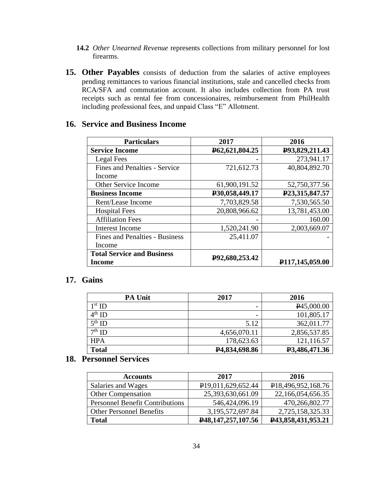- **14.2** *Other Unearned Revenue* represents collections from military personnel for lost firearms.
- **15. Other Payables** consists of deduction from the salaries of active employees pending remittances to various financial institutions, stale and cancelled checks from RCA/SFA and commutation account. It also includes collection from PA trust receipts such as rental fee from concessionaires, reimbursement from PhilHealth including professional fees, and unpaid Class "E" Allotment.

| <b>Particulars</b>                   | 2017           | 2016                         |
|--------------------------------------|----------------|------------------------------|
| <b>Service Income</b>                | P62,621,804.25 | P93,829,211.43               |
| Legal Fees                           |                | 273,941.17                   |
| <b>Fines and Penalties - Service</b> | 721,612.73     | 40,804,892.70                |
| Income                               |                |                              |
| <b>Other Service Income</b>          | 61,900,191.52  | 52,750,377.56                |
| <b>Business Income</b>               | P30,058,449.17 | P23,315,847.57               |
| Rent/Lease Income                    | 7,703,829.58   | 7,530,565.50                 |
| <b>Hospital Fees</b>                 | 20,808,966.62  | 13,781,453.00                |
| <b>Affiliation Fees</b>              |                | 160.00                       |
| <b>Interest Income</b>               | 1,520,241.90   | 2,003,669.07                 |
| Fines and Penalties - Business       | 25,411.07      |                              |
| Income                               |                |                              |
| <b>Total Service and Business</b>    |                |                              |
| Income                               | P92,680,253.42 | P <sub>117</sub> ,145,059.00 |

## **16. Service and Business Income**

### **17. Gains**

| <b>PA Unit</b> | 2017                       | 2016                    |
|----------------|----------------------------|-------------------------|
| $1st$ ID       |                            | P <sub>45</sub> ,000.00 |
| $4^{th}$ ID    | $\overline{\phantom{0}}$   | 101,805.17              |
| $5th$ ID       | 5.12                       | 362,011.77              |
| $7th$ ID       | 4,656,070.11               | 2,856,537.85            |
| <b>HPA</b>     | 178,623.63                 | 121,116.57              |
| <b>Total</b>   | P <sub>4</sub> ,834,698.86 | P3,486,471.36           |

## **18. Personnel Services**

| <b>Accounts</b>                        | 2017                            | 2016                            |
|----------------------------------------|---------------------------------|---------------------------------|
| Salaries and Wages                     | P <sub>19</sub> ,011,629,652.44 | P <sub>18</sub> ,496,952,168.76 |
| <b>Other Compensation</b>              | 25,393,630,661.09               | 22,166,054,656.35               |
| <b>Personnel Benefit Contributions</b> | 546,424,096.19                  | 470,266,802.77                  |
| <b>Other Personnel Benefits</b>        | 3,195,572,697.84                | 2,725,158,325.33                |
| <b>Total</b>                           | P48,147,257,107.56              | P43,858,431,953.21              |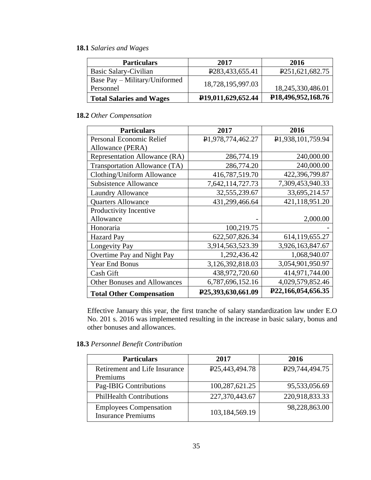### **18.1** *Salaries and Wages*

| <b>Particulars</b>                         | 2017                            | 2016                            |
|--------------------------------------------|---------------------------------|---------------------------------|
| Basic Salary-Civilian                      | P <sub>283</sub> , 433, 655.41  | P <sub>251</sub> ,621,682.75    |
| Base Pay – Military/Uniformed<br>Personnel | 18,728,195,997.03               | 18,245,330,486.01               |
| <b>Total Salaries and Wages</b>            | P <sub>19</sub> ,011,629,652.44 | P <sub>18</sub> ,496,952,168.76 |

### **18.2** *Other Compensation*

| <b>Particulars</b>                  | 2017                                | 2016                            |
|-------------------------------------|-------------------------------------|---------------------------------|
| Personal Economic Relief            | P1,978,774,462.27                   | P1,938,101,759.94               |
| Allowance (PERA)                    |                                     |                                 |
| Representation Allowance (RA)       | 286,774.19                          | 240,000.00                      |
| Transportation Allowance (TA)       | 286,774.20                          | 240,000.00                      |
| Clothing/Uniform Allowance          | 416,787,519.70                      | 422,396,799.87                  |
| <b>Subsistence Allowance</b>        | 7,642,114,727.73                    | 7,309,453,940.33                |
| <b>Laundry Allowance</b>            | 32,555,239.67                       | 33,695,214.57                   |
| <b>Quarters Allowance</b>           | 431,299,466.64                      | 421,118,951.20                  |
| Productivity Incentive              |                                     |                                 |
| Allowance                           |                                     | 2,000.00                        |
| Honoraria                           | 100,219.75                          |                                 |
| <b>Hazard Pay</b>                   | 622,507,826.34                      | 614,119,655.27                  |
| <b>Longevity Pay</b>                | 3,914,563,523.39                    | 3,926,163,847.67                |
| Overtime Pay and Night Pay          | 1,292,436.42                        | 1,068,940.07                    |
| Year End Bonus                      | 3,126,392,818.03                    | 3,054,901,950.97                |
| Cash Gift                           | 438,972,720.60                      | 414,971,744.00                  |
| <b>Other Bonuses and Allowances</b> | 6,787,696,152.16                    | 4,029,579,852.46                |
| <b>Total Other Compensation</b>     | P <sub>25</sub> , 393, 630, 661. 09 | P <sub>22</sub> ,166,054,656.35 |

Effective January this year, the first tranche of salary standardization law under E.O No. 201 s. 2016 was implemented resulting in the increase in basic salary, bonus and other bonuses and allowances.

### **18.3** *Personnel Benefit Contribution*

| <b>Particulars</b>                                         | 2017                           | 2016                           |
|------------------------------------------------------------|--------------------------------|--------------------------------|
| Retirement and Life Insurance<br>Premiums                  | P <sub>25</sub> , 443, 494. 78 | P <sub>29</sub> , 744, 494. 75 |
| Pag-IBIG Contributions                                     | 100,287,621.25                 | 95,533,056.69                  |
| <b>PhilHealth Contributions</b>                            | 227,370,443.67                 | 220,918,833.33                 |
| <b>Employees Compensation</b><br><b>Insurance Premiums</b> | 103,184,569.19                 | 98,228,863.00                  |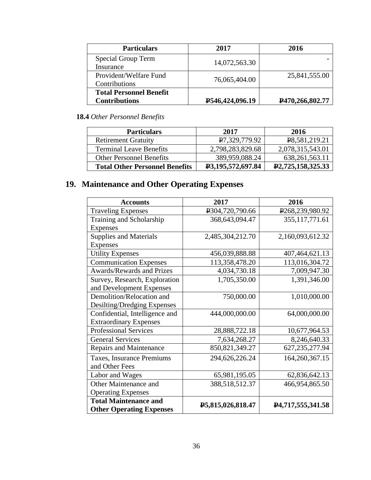| <b>Particulars</b>             | 2017            | 2016            |
|--------------------------------|-----------------|-----------------|
| <b>Special Group Term</b>      | 14,072,563.30   |                 |
| Insurance                      |                 |                 |
| Provident/Welfare Fund         | 76,065,404.00   | 25,841,555.00   |
| Contributions                  |                 |                 |
| <b>Total Personnel Benefit</b> |                 |                 |
| <b>Contributions</b>           | P546,424,096.19 | P470,266,802.77 |

## **18.4** *Other Personnel Benefits*

| <b>Particulars</b>                    | 2017              | 2016                               |
|---------------------------------------|-------------------|------------------------------------|
| <b>Retirement Gratuity</b>            | P7,329,779.92     | P8,581,219.21                      |
| <b>Terminal Leave Benefits</b>        | 2,798,283,829.68  | 2,078,315,543.01                   |
| <b>Other Personnel Benefits</b>       | 389,959,088.24    | 638, 261, 563. 11                  |
| <b>Total Other Personnel Benefits</b> | P3,195,572,697.84 | P <sub>2</sub> , 725, 158, 325. 33 |

# **19. Maintenance and Other Operating Expenses**

| <b>Accounts</b>                  | 2017              | 2016                           |
|----------------------------------|-------------------|--------------------------------|
| <b>Traveling Expenses</b>        | P304,720,790.66   | P268,239,980.92                |
| Training and Scholarship         | 368, 643, 094. 47 | 355, 117, 771.61               |
| <b>Expenses</b>                  |                   |                                |
| <b>Supplies and Materials</b>    | 2,485,304,212.70  | 2,160,093,612.32               |
| <b>Expenses</b>                  |                   |                                |
| <b>Utility Expenses</b>          | 456,039,888.88    | 407,464,621.13                 |
| <b>Communication Expenses</b>    | 113,358,478.20    | 113,016,304.72                 |
| <b>Awards/Rewards and Prizes</b> | 4,034,730.18      | 7,009,947.30                   |
| Survey, Research, Exploration    | 1,705,350.00      | 1,391,346.00                   |
| and Development Expenses         |                   |                                |
| Demolition/Relocation and        | 750,000.00        | 1,010,000.00                   |
| Desilting/Dredging Expenses      |                   |                                |
| Confidential, Intelligence and   | 444,000,000.00    | 64,000,000.00                  |
| <b>Extraordinary Expenses</b>    |                   |                                |
| <b>Professional Services</b>     | 28,888,722.18     | 10,677,964.53                  |
| <b>General Services</b>          | 7,634,268.27      | 8,246,640.33                   |
| <b>Repairs and Maintenance</b>   | 850, 821, 349. 27 | 627, 235, 277. 94              |
| Taxes, Insurance Premiums        | 294,626,226.24    | 164,260,367.15                 |
| and Other Fees                   |                   |                                |
| Labor and Wages                  | 65,981,195.05     | 62,836,642.13                  |
| Other Maintenance and            | 388,518,512.37    | 466,954,865.50                 |
| <b>Operating Expenses</b>        |                   |                                |
| <b>Total Maintenance and</b>     | P5,815,026,818.47 | P <sub>4</sub> ,717,555,341.58 |
| <b>Other Operating Expenses</b>  |                   |                                |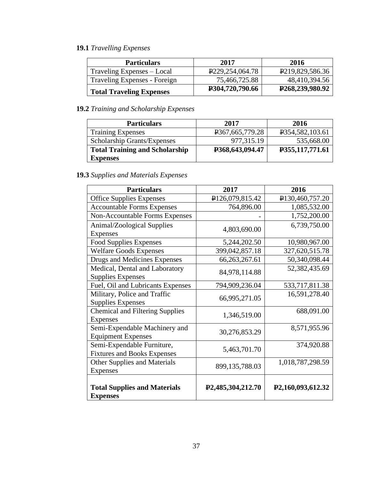## **19.1** *Travelling Expenses*

| <b>Particulars</b>              | 2017                            | 2016                            |
|---------------------------------|---------------------------------|---------------------------------|
| Traveling Expenses – Local      | P <sub>229</sub> , 254, 064. 78 | P <sub>2</sub> 19,829,586.36    |
| Traveling Expenses - Foreign    | 75,466,725.88                   | 48,410,394.56                   |
| <b>Total Traveling Expenses</b> | P304,720,790.66                 | P <sub>268</sub> , 239, 980. 92 |

## **19.2** *Training and Scholarship Expenses*

| <b>Particulars</b>                    | 2017                           | 2016                         |
|---------------------------------------|--------------------------------|------------------------------|
| <b>Training Expenses</b>              | P <sub>367</sub> , 665, 779.28 | P <sub>354,582</sub> ,103.61 |
| Scholarship Grants/Expenses           | 977,315.19                     | 535,668.00                   |
| <b>Total Training and Scholarship</b> | P368,643,094.47                | P355,117,771.61              |
| <b>Expenses</b>                       |                                |                              |

## **19.3** *Supplies and Materials Expenses*

| <b>Particulars</b>                     | 2017                           | 2016                           |
|----------------------------------------|--------------------------------|--------------------------------|
| <b>Office Supplies Expenses</b>        | P126,079,815.42                | P130,460,757.20                |
| <b>Accountable Forms Expenses</b>      | 764,896.00                     | 1,085,532.00                   |
| <b>Non-Accountable Forms Expenses</b>  |                                | 1,752,200.00                   |
| Animal/Zoological Supplies             |                                | 6,739,750.00                   |
| <b>Expenses</b>                        | 4,803,690.00                   |                                |
| <b>Food Supplies Expenses</b>          | 5,244,202.50                   | 10,980,967.00                  |
| <b>Welfare Goods Expenses</b>          | 399,042,857.18                 | 327,620,515.78                 |
| Drugs and Medicines Expenses           | 66, 263, 267. 61               | 50,340,098.44                  |
| Medical, Dental and Laboratory         | 84,978,114.88                  | 52,382,435.69                  |
| <b>Supplies Expenses</b>               |                                |                                |
| Fuel, Oil and Lubricants Expenses      | 794,909,236.04                 | 533,717,811.38                 |
| Military, Police and Traffic           | 66,995,271.05                  | 16,591,278.40                  |
| <b>Supplies Expenses</b>               |                                |                                |
| <b>Chemical and Filtering Supplies</b> | 1,346,519.00                   | 688,091.00                     |
| <b>Expenses</b>                        |                                |                                |
| Semi-Expendable Machinery and          | 30,276,853.29                  | 8,571,955.96                   |
| <b>Equipment Expenses</b>              |                                |                                |
| Semi-Expendable Furniture,             | 5,463,701.70                   | 374,920.88                     |
| <b>Fixtures and Books Expenses</b>     |                                |                                |
| <b>Other Supplies and Materials</b>    | 899,135,788.03                 | 1,018,787,298.59               |
| <b>Expenses</b>                        |                                |                                |
|                                        |                                |                                |
| <b>Total Supplies and Materials</b>    | P <sub>2</sub> ,485,304,212.70 | P <sub>2</sub> ,160,093,612.32 |
| <b>Expenses</b>                        |                                |                                |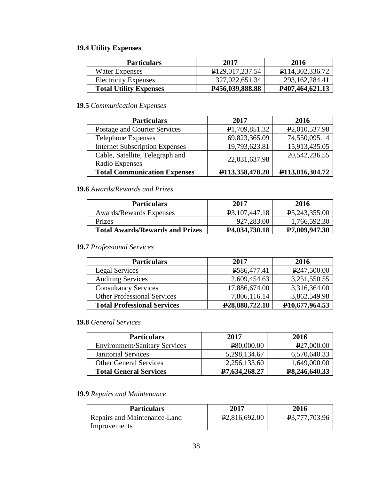## **19.4 Utility Expenses**

| <b>Particulars</b>            | 2017                           | 2016                            |
|-------------------------------|--------------------------------|---------------------------------|
| Water Expenses                | P <sub>129</sub> , 017, 237.54 | P <sub>114</sub> , 302, 336. 72 |
| <b>Electricity Expenses</b>   | 327,022,651.34                 | 293, 162, 284. 41               |
| <b>Total Utility Expenses</b> | P <sub>456</sub> ,039,888.88   | <b>P407,464,621.13</b>          |

## **19.5** *Communication Expenses*

| <b>Particulars</b>                                | 2017                            | 2016                            |
|---------------------------------------------------|---------------------------------|---------------------------------|
| Postage and Courier Services                      | P <sub>1</sub> ,709,851.32      | P <sub>2</sub> ,010,537.98      |
| <b>Telephone Expenses</b>                         | 69,823,365.09                   | 74,550,095.14                   |
| <b>Internet Subscription Expenses</b>             | 19,793,623.81                   | 15,913,435.05                   |
| Cable, Satellite, Telegraph and<br>Radio Expenses | 22,031,637.98                   | 20, 542, 236. 55                |
| <b>Total Communication Expenses</b>               | P <sub>113</sub> , 358, 478. 20 | P <sub>113</sub> , 016, 304. 72 |

### **19.6** *Awards/Rewards and Prizes*

| <b>Particulars</b>                     | 2017                          | 2016                         |
|----------------------------------------|-------------------------------|------------------------------|
| Awards/Rewards Expenses                | P <sub>3</sub> , 107, 447. 18 | P <sub>5</sub> , 243, 355.00 |
| <b>Prizes</b>                          | 927,283.00                    | 1,766,592.30                 |
| <b>Total Awards/Rewards and Prizes</b> | <b>P4,034,730.18</b>          | P7,009,947.30                |

### **19.7** *Professional Services*

| <b>Particulars</b>                 | 2017                        | 2016                        |
|------------------------------------|-----------------------------|-----------------------------|
| <b>Legal Services</b>              | P586,477.41                 | P <sub>247</sub> ,500.00    |
| <b>Auditing Services</b>           | 2,609,454.63                | 3,251,550.55                |
| <b>Consultancy Services</b>        | 17,886,674.00               | 3,316,364.00                |
| <b>Other Professional Services</b> | 7,806,116.14                | 3,862,549.98                |
| <b>Total Professional Services</b> | P <sub>28</sub> ,888,722.18 | P <sub>10</sub> ,677,964.53 |

#### **19.8** *General Services*

| <b>Particulars</b>                   | 2017          | 2016                       |
|--------------------------------------|---------------|----------------------------|
| <b>Environment/Sanitary Services</b> | P80,000.00    | P27,000.00                 |
| <b>Janitorial Services</b>           | 5,298,134.67  | 6,570,640.33               |
| <b>Other General Services</b>        | 2,256,133.60  | 1,649,000.00               |
| <b>Total General Services</b>        | P7,634,268.27 | P <sub>8</sub> ,246,640.33 |

### **19.9** *Repairs and Maintenance*

| <b>Particulars</b>           | 2017                       | 2016          |
|------------------------------|----------------------------|---------------|
| Repairs and Maintenance-Land | P <sub>2</sub> ,816,692.00 | P3,777,703.96 |
| Improvements                 |                            |               |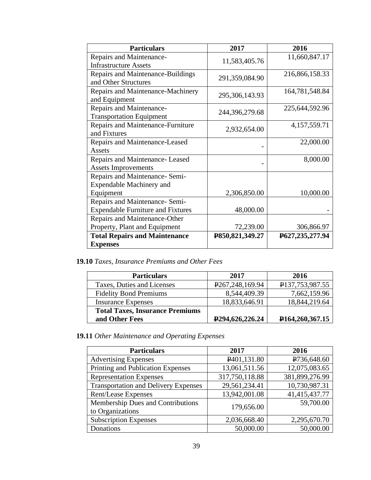| <b>Particulars</b>                       | 2017            | 2016            |
|------------------------------------------|-----------------|-----------------|
| Repairs and Maintenance-                 |                 | 11,660,847.17   |
| <b>Infrastructure Assets</b>             | 11,583,405.76   |                 |
| Repairs and Maintenance-Buildings        |                 | 216,866,158.33  |
| and Other Structures                     | 291,359,084.90  |                 |
| Repairs and Maintenance-Machinery        |                 | 164,781,548.84  |
| and Equipment                            | 295,306,143.93  |                 |
| Repairs and Maintenance-                 |                 | 225,644,592.96  |
| <b>Transportation Equipment</b>          | 244,396,279.68  |                 |
| Repairs and Maintenance-Furniture        |                 | 4, 157, 559. 71 |
| and Fixtures                             | 2,932,654.00    |                 |
| Repairs and Maintenance-Leased           |                 | 22,000.00       |
| Assets                                   |                 |                 |
| Repairs and Maintenance-Leased           |                 | 8,000.00        |
| <b>Assets Improvements</b>               |                 |                 |
| Repairs and Maintenance- Semi-           |                 |                 |
| Expendable Machinery and                 |                 |                 |
| Equipment                                | 2,306,850.00    | 10,000.00       |
| Repairs and Maintenance- Semi-           |                 |                 |
| <b>Expendable Furniture and Fixtures</b> | 48,000.00       |                 |
| Repairs and Maintenance-Other            |                 |                 |
| Property, Plant and Equipment            | 72,239.00       | 306,866.97      |
| <b>Total Repairs and Maintenance</b>     | P850,821,349.27 | P627,235,277.94 |
| <b>Expenses</b>                          |                 |                 |

**19.10** *Taxes, Insurance Premiums and Other Fees*

| <b>Particulars</b>                     | 2017                           | 2016                            |
|----------------------------------------|--------------------------------|---------------------------------|
| Taxes, Duties and Licenses             | P <sub>267</sub> , 248, 169.94 | P137,753,987.55                 |
| <b>Fidelity Bond Premiums</b>          | 8,544,409.39                   | 7,662,159.96                    |
| <b>Insurance Expenses</b>              | 18,833,646.91                  | 18,844,219.64                   |
| <b>Total Taxes, Insurance Premiums</b> |                                |                                 |
| and Other Fees                         | P <sub>294</sub> ,626,226.24   | P <sub>164</sub> , 260, 367. 15 |

**19.11** *Other Maintenance and Operating Expenses*

| <b>Particulars</b>                                    | 2017                     | 2016           |
|-------------------------------------------------------|--------------------------|----------------|
| <b>Advertising Expenses</b>                           | P <sub>401</sub> ,131.80 | P736,648.60    |
| Printing and Publication Expenses                     | 13,061,511.56            | 12,075,083.65  |
| <b>Representation Expenses</b>                        | 317,750,118.88           | 381,899,276.99 |
| <b>Transportation and Delivery Expenses</b>           | 29,561,234.41            | 10,730,987.31  |
| Rent/Lease Expenses                                   | 13,942,001.08            | 41,415,437.77  |
| Membership Dues and Contributions<br>to Organizations | 179,656.00               | 59,700.00      |
| <b>Subscription Expenses</b>                          | 2,036,668.40             | 2,295,670.70   |
| Donations                                             | 50,000.00                | 50,000.00      |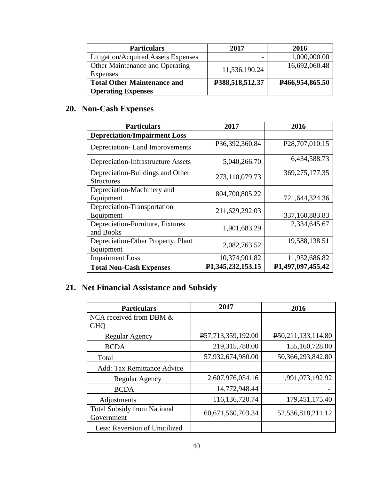| <b>Particulars</b>                          | 2017            | 2016                           |
|---------------------------------------------|-----------------|--------------------------------|
| Litigation/Acquired Assets Expenses         |                 | 1,000,000.00                   |
| Other Maintenance and Operating<br>Expenses | 11,536,190.24   | 16,692,060.48                  |
| <b>Total Other Maintenance and</b>          | P388,518,512.37 | P <sub>466</sub> , 954, 865.50 |
| <b>Operating Expenses</b>                   |                 |                                |

# **20. Non-Cash Expenses**

| <b>Particulars</b>                                    | 2017              | 2016                           |
|-------------------------------------------------------|-------------------|--------------------------------|
| <b>Depreciation/Impairment Loss</b>                   |                   |                                |
| Depreciation-Land Improvements                        | P36,392,360.84    | P <sub>28</sub> , 707, 010.15  |
| <b>Depreciation-Infrastructure Assets</b>             | 5,040,266.70      | 6,434,588.73                   |
| Depreciation-Buildings and Other<br><b>Structures</b> | 273,110,079.73    | 369, 275, 177. 35              |
| Depreciation-Machinery and<br>Equipment               | 804,700,805.22    | 721,644,324.36                 |
| Depreciation-Transportation<br>Equipment              | 211,629,292.03    | 337,160,883.83                 |
| Depreciation-Furniture, Fixtures<br>and Books         | 1,901,683.29      | 2,334,645.67                   |
| Depreciation-Other Property, Plant<br>Equipment       | 2,082,763.52      | 19,588,138.51                  |
| <b>Impairment Loss</b>                                | 10,374,901.82     | 11,952,686.82                  |
| <b>Total Non-Cash Expenses</b>                        | P1,345,232,153.15 | P <sub>1</sub> ,497,097,455.42 |

# **21. Net Financial Assistance and Subsidy**

| <b>Particulars</b>                               | 2017               | 2016                               |
|--------------------------------------------------|--------------------|------------------------------------|
| NCA received from DBM &                          |                    |                                    |
| <b>GHO</b>                                       |                    |                                    |
| <b>Regular Agency</b>                            | P57,713,359,192.00 | P <sub>50</sub> , 211, 133, 114.80 |
| <b>BCDA</b>                                      | 219,315,788.00     | 155,160,728.00                     |
| Total                                            | 57,932,674,980.00  | 50,366,293,842.80                  |
| <b>Add: Tax Remittance Advice</b>                |                    |                                    |
| Regular Agency                                   | 2,607,976,054.16   | 1,991,073,192.92                   |
| <b>BCDA</b>                                      | 14,772,948.44      |                                    |
| Adjustments                                      | 116,136,720.74     | 179,451,175.40                     |
| <b>Total Subsidy from National</b><br>Government | 60,671,560,703.34  | 52, 536, 818, 211. 12              |
| Less: Reversion of Unutilized                    |                    |                                    |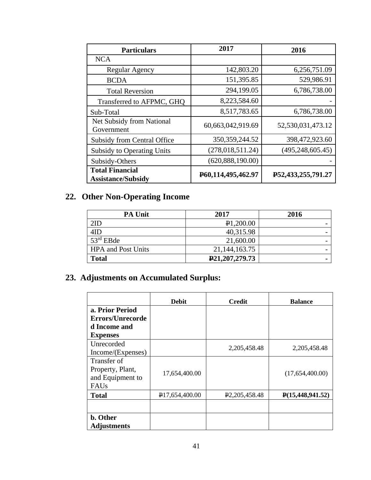| <b>Particulars</b>                                  | 2017               | 2016               |
|-----------------------------------------------------|--------------------|--------------------|
| <b>NCA</b>                                          |                    |                    |
| Regular Agency                                      | 142,803.20         | 6,256,751.09       |
| <b>BCDA</b>                                         | 151,395.85         | 529,986.91         |
| <b>Total Reversion</b>                              | 294,199.05         | 6,786,738.00       |
| Transferred to AFPMC, GHQ                           | 8,223,584.60       |                    |
| Sub-Total                                           | 8,517,783.65       | 6,786,738.00       |
| Net Subsidy from National<br>Government             | 60,663,042,919.69  | 52,530,031,473.12  |
| <b>Subsidy from Central Office</b>                  | 350, 359, 244. 52  | 398,472,923.60     |
| <b>Subsidy to Operating Units</b>                   | (278, 018, 511.24) | (495, 248, 605.45) |
| Subsidy-Others                                      | (620, 888, 190.00) |                    |
| <b>Total Financial</b><br><b>Assistance/Subsidy</b> | P60,114,495,462.97 | P52,433,255,791.27 |

# **22. Other Non-Operating Income**

| <b>PA Unit</b>            | 2017               | 2016           |
|---------------------------|--------------------|----------------|
| 2ID                       | $\text{P}1,200.00$ |                |
| 4ID                       | 40,315.98          |                |
| $53rd$ EBde               | 21,600.00          |                |
| <b>HPA</b> and Post Units | 21, 144, 163. 75   |                |
| <b>Total</b>              | P21,207,279.73     | $\blacksquare$ |

# **23. Adjustments on Accumulated Surplus:**

|                    | <b>Debit</b>                | <b>Credit</b>                | <b>Balance</b>   |
|--------------------|-----------------------------|------------------------------|------------------|
| a. Prior Period    |                             |                              |                  |
| Errors/Unrecorde   |                             |                              |                  |
| d Income and       |                             |                              |                  |
| <b>Expenses</b>    |                             |                              |                  |
| Unrecorded         |                             | 2,205,458.48                 | 2,205,458.48     |
| Income/(Expenses)  |                             |                              |                  |
| Transfer of        |                             |                              |                  |
| Property, Plant,   | 17,654,400.00               |                              | (17,654,400.00)  |
| and Equipment to   |                             |                              |                  |
| FAUs               |                             |                              |                  |
| <b>Total</b>       | P <sub>17</sub> ,654,400.00 | P <sub>2</sub> , 205, 458.48 | P(15,448,941.52) |
|                    |                             |                              |                  |
| b. Other           |                             |                              |                  |
| <b>Adjustments</b> |                             |                              |                  |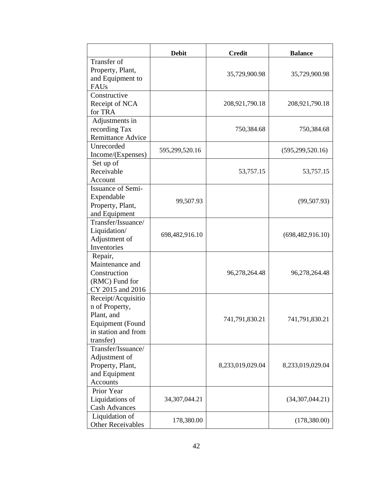|                                                                                                                   | <b>Debit</b>     | <b>Credit</b>    | <b>Balance</b>     |
|-------------------------------------------------------------------------------------------------------------------|------------------|------------------|--------------------|
| Transfer of<br>Property, Plant,<br>and Equipment to<br>FAUs                                                       |                  | 35,729,900.98    | 35,729,900.98      |
| Constructive<br>Receipt of NCA<br>for TRA                                                                         |                  | 208,921,790.18   | 208,921,790.18     |
| Adjustments in<br>recording Tax<br><b>Remittance Advice</b>                                                       |                  | 750,384.68       | 750,384.68         |
| Unrecorded<br>Income/(Expenses)                                                                                   | 595,299,520.16   |                  | (595, 299, 520.16) |
| Set up of<br>Receivable<br>Account                                                                                |                  | 53,757.15        | 53,757.15          |
| Issuance of Semi-<br>Expendable<br>Property, Plant,<br>and Equipment                                              | 99,507.93        |                  | (99, 507.93)       |
| Transfer/Issuance/<br>Liquidation/<br>Adjustment of<br>Inventories                                                | 698,482,916.10   |                  | (698, 482, 916.10) |
| Repair,<br>Maintenance and<br>Construction<br>(RMC) Fund for<br>CY 2015 and 2016                                  |                  | 96,278,264.48    | 96,278,264.48      |
| Receipt/Acquisitio<br>n of Property,<br>Plant, and<br><b>Equipment</b> (Found<br>in station and from<br>transfer) |                  | 741,791,830.21   | 741,791,830.21     |
| Transfer/Issuance/<br>Adjustment of<br>Property, Plant,<br>and Equipment<br>Accounts                              |                  | 8,233,019,029.04 | 8,233,019,029.04   |
| Prior Year<br>Liquidations of<br><b>Cash Advances</b>                                                             | 34, 307, 044. 21 |                  | (34,307,044.21)    |
| Liquidation of<br><b>Other Receivables</b>                                                                        | 178,380.00       |                  | (178,380.00)       |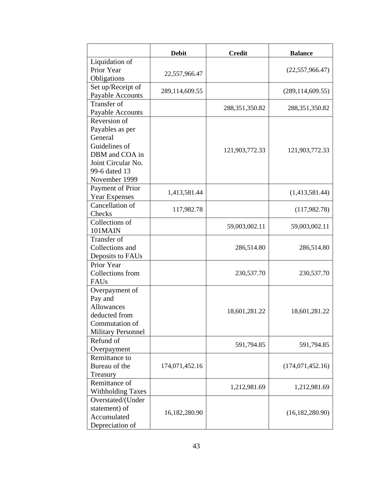|                           | <b>Debit</b>   | <b>Credit</b>     | <b>Balance</b>     |
|---------------------------|----------------|-------------------|--------------------|
| Liquidation of            |                |                   |                    |
| Prior Year                | 22,557,966.47  |                   | (22, 557, 966.47)  |
| Obligations               |                |                   |                    |
| Set up/Receipt of         | 289,114,609.55 |                   | (289, 114, 609.55) |
| Payable Accounts          |                |                   |                    |
| <b>Transfer of</b>        |                | 288, 351, 350. 82 | 288, 351, 350. 82  |
| Payable Accounts          |                |                   |                    |
| Reversion of              |                |                   |                    |
| Payables as per           |                |                   |                    |
| General                   |                |                   |                    |
| Guidelines of             |                | 121,903,772.33    | 121,903,772.33     |
| DBM and COA in            |                |                   |                    |
| Joint Circular No.        |                |                   |                    |
| 99-6 dated 13             |                |                   |                    |
| November 1999             |                |                   |                    |
| Payment of Prior          | 1,413,581.44   |                   | (1,413,581.44)     |
| <b>Year Expenses</b>      |                |                   |                    |
| Cancellation of           | 117,982.78     |                   | (117,982.78)       |
| Checks                    |                |                   |                    |
| Collections of            |                | 59,003,002.11     | 59,003,002.11      |
| 101MAIN                   |                |                   |                    |
| Transfer of               |                |                   |                    |
| Collections and           |                | 286,514.80        | 286,514.80         |
| Deposits to FAUs          |                |                   |                    |
| Prior Year                |                |                   |                    |
| Collections from          |                | 230,537.70        | 230,537.70         |
| FAUs                      |                |                   |                    |
| Overpayment of            |                |                   |                    |
| Pay and                   |                |                   |                    |
| Allowances                |                | 18,601,281.22     | 18,601,281.22      |
| deducted from             |                |                   |                    |
| Commutation of            |                |                   |                    |
| <b>Military Personnel</b> |                |                   |                    |
| Refund of                 |                | 591,794.85        | 591,794.85         |
| Overpayment               |                |                   |                    |
| Remittance to             |                |                   |                    |
| Bureau of the             | 174,071,452.16 |                   | (174, 071, 452.16) |
| Treasury                  |                |                   |                    |
| Remittance of             |                | 1,212,981.69      | 1,212,981.69       |
| <b>Withholding Taxes</b>  |                |                   |                    |
| Overstated/(Under         |                |                   |                    |
| statement) of             | 16,182,280.90  |                   | (16, 182, 280.90)  |
| Accumulated               |                |                   |                    |
| Depreciation of           |                |                   |                    |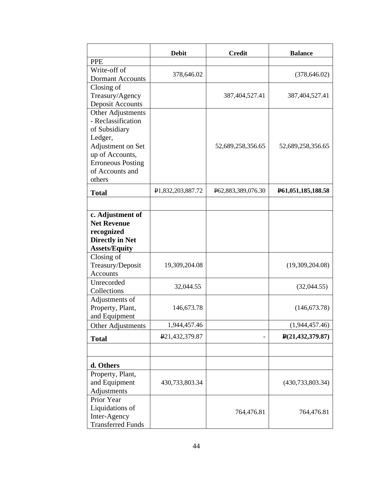|                          | <b>Debit</b>                | <b>Credit</b>      | <b>Balance</b>                      |
|--------------------------|-----------------------------|--------------------|-------------------------------------|
| <b>PPE</b>               |                             |                    |                                     |
| Write-off of             | 378,646.02                  |                    | (378, 646.02)                       |
| <b>Dormant Accounts</b>  |                             |                    |                                     |
| Closing of               |                             |                    |                                     |
| Treasury/Agency          |                             | 387,404,527.41     | 387,404,527.41                      |
| <b>Deposit Accounts</b>  |                             |                    |                                     |
| Other Adjustments        |                             |                    |                                     |
| - Reclassification       |                             |                    |                                     |
| of Subsidiary            |                             |                    |                                     |
| Ledger,                  |                             |                    |                                     |
| Adjustment on Set        |                             | 52,689,258,356.65  | 52,689,258,356.65                   |
| up of Accounts,          |                             |                    |                                     |
| <b>Erroneous Posting</b> |                             |                    |                                     |
| of Accounts and          |                             |                    |                                     |
| others                   |                             |                    |                                     |
| <b>Total</b>             | ₽1,832,203,887.72           | P62,883,389,076.30 | P <sub>61</sub> , 051, 185, 188. 58 |
|                          |                             |                    |                                     |
| c. Adjustment of         |                             |                    |                                     |
| <b>Net Revenue</b>       |                             |                    |                                     |
| recognized               |                             |                    |                                     |
| <b>Directly in Net</b>   |                             |                    |                                     |
| <b>Assets/Equity</b>     |                             |                    |                                     |
| Closing of               |                             |                    |                                     |
| Treasury/Deposit         | 19,309,204.08               |                    | (19,309,204.08)                     |
| Accounts                 |                             |                    |                                     |
| Unrecorded               | 32,044.55                   |                    | (32,044.55)                         |
| Collections              |                             |                    |                                     |
| Adjustments of           |                             |                    |                                     |
| Property, Plant,         | 146,673.78                  |                    | (146, 673.78)                       |
| and Equipment            |                             |                    |                                     |
| Other Adjustments        | 1,944,457.46                |                    | (1,944,457.46)                      |
| <b>Total</b>             | P <sub>21</sub> ,432,379.87 |                    | P(21, 432, 379.87)                  |
|                          |                             |                    |                                     |
| d. Others                |                             |                    |                                     |
| Property, Plant,         |                             |                    |                                     |
| and Equipment            | 430,733,803.34              |                    | (430, 733, 803.34)                  |
| Adjustments              |                             |                    |                                     |
| Prior Year               |                             |                    |                                     |
| Liquidations of          |                             |                    |                                     |
| Inter-Agency             |                             | 764,476.81         | 764,476.81                          |
| <b>Transferred Funds</b> |                             |                    |                                     |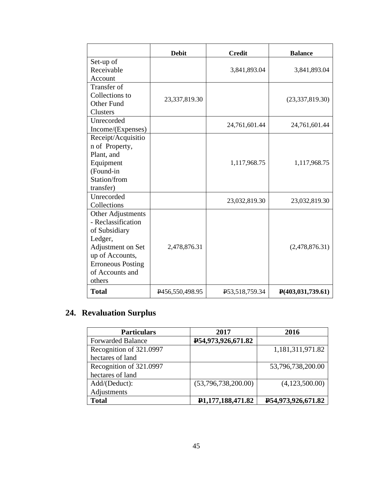|                          | <b>Debit</b>    | <b>Credit</b>  | <b>Balance</b>                 |
|--------------------------|-----------------|----------------|--------------------------------|
| Set-up of                |                 |                |                                |
| Receivable               |                 | 3,841,893.04   | 3,841,893.04                   |
| Account                  |                 |                |                                |
| Transfer of              |                 |                |                                |
| Collections to           | 23,337,819.30   |                | (23, 337, 819.30)              |
| Other Fund               |                 |                |                                |
| Clusters                 |                 |                |                                |
| Unrecorded               |                 | 24,761,601.44  | 24,761,601.44                  |
| Income/(Expenses)        |                 |                |                                |
| Receipt/Acquisitio       |                 |                |                                |
| n of Property,           |                 |                |                                |
| Plant, and               |                 |                |                                |
| Equipment                |                 | 1,117,968.75   | 1,117,968.75                   |
| (Found-in                |                 |                |                                |
| Station/from             |                 |                |                                |
| transfer)                |                 |                |                                |
| Unrecorded               |                 | 23,032,819.30  | 23,032,819.30                  |
| Collections              |                 |                |                                |
| Other Adjustments        |                 |                |                                |
| - Reclassification       |                 |                |                                |
| of Subsidiary            |                 |                |                                |
| Ledger,                  |                 |                |                                |
| Adjustment on Set        | 2,478,876.31    |                | (2,478,876.31)                 |
| up of Accounts,          |                 |                |                                |
| <b>Erroneous Posting</b> |                 |                |                                |
| of Accounts and          |                 |                |                                |
| others                   |                 |                |                                |
| <b>Total</b>             | P456,550,498.95 | P53,518,759.34 | $\mathbf{P}(403, 031, 739.61)$ |

# **24. Revaluation Surplus**

| <b>Particulars</b>       | 2017                           | 2016               |
|--------------------------|--------------------------------|--------------------|
| <b>Forwarded Balance</b> | P54,973,926,671.82             |                    |
| Recognition of 321.0997  |                                | 1,181,311,971.82   |
| hectares of land         |                                |                    |
| Recognition of 321.0997  |                                | 53,796,738,200.00  |
| hectares of land         |                                |                    |
| Add/(Deduct):            | (53,796,738,200.00)            | (4,123,500.00)     |
| Adjustments              |                                |                    |
| <b>Total</b>             | P <sub>1</sub> ,177,188,471.82 | P54,973,926,671.82 |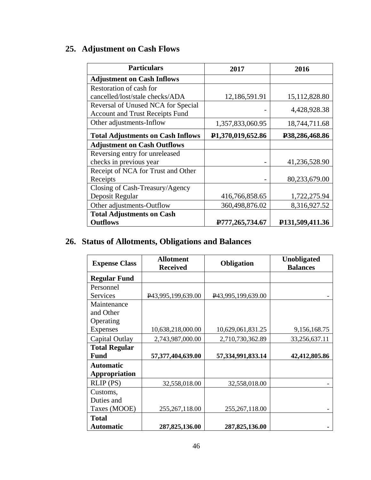# **25. Adjustment on Cash Flows**

| <b>Particulars</b>                                                           | 2017                            | 2016                           |
|------------------------------------------------------------------------------|---------------------------------|--------------------------------|
| <b>Adjustment on Cash Inflows</b>                                            |                                 |                                |
| Restoration of cash for                                                      |                                 |                                |
| cancelled/lost/stale checks/ADA                                              | 12,186,591.91                   | 15,112,828.80                  |
| Reversal of Unused NCA for Special<br><b>Account and Trust Receipts Fund</b> |                                 | 4,428,928.38                   |
| Other adjustments-Inflow                                                     | 1,357,833,060.95                | 18,744,711.68                  |
| <b>Total Adjustments on Cash Inflows</b>                                     | P1,370,019,652.86               | P38,286,468.86                 |
| <b>Adjustment on Cash Outflows</b>                                           |                                 |                                |
| Reversing entry for unreleased                                               |                                 |                                |
| checks in previous year                                                      |                                 | 41,236,528.90                  |
| Receipt of NCA for Trust and Other                                           |                                 |                                |
| Receipts                                                                     |                                 | 80,233,679.00                  |
| Closing of Cash-Treasury/Agency                                              |                                 |                                |
| Deposit Regular                                                              | 416,766,858.65                  | 1,722,275.94                   |
| Other adjustments-Outflow                                                    | 360,498,876.02                  | 8,316,927.52                   |
| <b>Total Adjustments on Cash</b>                                             |                                 |                                |
| <b>Outflows</b>                                                              | P <sub>777</sub> , 265, 734. 67 | P <sub>131</sub> , 509, 411.36 |

# **26. Status of Allotments, Obligations and Balances**

| <b>Expense Class</b>     | <b>Allotment</b><br><b>Received</b> | <b>Obligation</b>  | <b>Unobligated</b><br><b>Balances</b> |
|--------------------------|-------------------------------------|--------------------|---------------------------------------|
| <b>Regular Fund</b>      |                                     |                    |                                       |
| Personnel                |                                     |                    |                                       |
| Services                 | P43,995,199,639.00                  | P43,995,199,639.00 |                                       |
| Maintenance<br>and Other |                                     |                    |                                       |
| Operating                |                                     |                    |                                       |
| <b>Expenses</b>          | 10,638,218,000.00                   | 10,629,061,831.25  | 9,156,168.75                          |
| Capital Outlay           | 2,743,987,000.00                    | 2,710,730,362.89   | 33,256,637.11                         |
| <b>Total Regular</b>     |                                     |                    |                                       |
| <b>Fund</b>              | 57,377,404,639.00                   | 57,334,991,833.14  | 42,412,805.86                         |
| <b>Automatic</b>         |                                     |                    |                                       |
| <b>Appropriation</b>     |                                     |                    |                                       |
| $RLIP$ (PS)              | 32,558,018.00                       | 32,558,018.00      |                                       |
| Customs,                 |                                     |                    |                                       |
| Duties and               |                                     |                    |                                       |
| Taxes (MOOE)             | 255, 267, 118.00                    | 255, 267, 118.00   |                                       |
| <b>Total</b>             |                                     |                    |                                       |
| <b>Automatic</b>         | 287, 825, 136.00                    | 287,825,136.00     |                                       |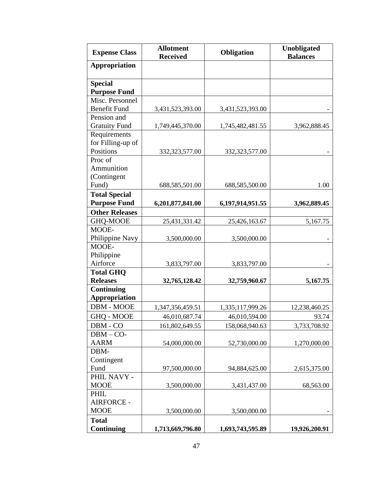| <b>Expense Class</b>           | <b>Allotment</b><br><b>Received</b> | <b>Obligation</b> | <b>Unobligated</b><br><b>Balances</b> |
|--------------------------------|-------------------------------------|-------------------|---------------------------------------|
| Appropriation                  |                                     |                   |                                       |
| <b>Special</b>                 |                                     |                   |                                       |
| <b>Purpose Fund</b>            |                                     |                   |                                       |
| Misc. Personnel                |                                     |                   |                                       |
| <b>Benefit Fund</b>            | 3,431,523,393.00                    | 3,431,523,393.00  |                                       |
| Pension and                    |                                     |                   |                                       |
| <b>Gratuity Fund</b>           | 1,749,445,370.00                    | 1,745,482,481.55  | 3,962,888.45                          |
| Requirements                   |                                     |                   |                                       |
| for Filling-up of              |                                     |                   |                                       |
| Positions                      | 332, 323, 577.00                    | 332, 323, 577.00  |                                       |
| Proc of                        |                                     |                   |                                       |
| Ammunition                     |                                     |                   |                                       |
| (Contingent                    |                                     |                   |                                       |
| Fund)                          | 688,585,501.00                      | 688,585,500.00    | 1.00                                  |
| <b>Total Special</b>           |                                     |                   |                                       |
| <b>Purpose Fund</b>            | 6,201,877,841.00                    | 6,197,914,951.55  | 3,962,889.45                          |
| <b>Other Releases</b>          |                                     |                   |                                       |
| GHQ-MOOE                       | 25,431,331.42                       | 25,426,163.67     | 5,167.75                              |
| MOOE-                          |                                     |                   |                                       |
| Philippine Navy                | 3,500,000.00                        | 3,500,000.00      |                                       |
| MOOE-                          |                                     |                   |                                       |
| Philippine                     |                                     |                   |                                       |
| Airforce                       | 3,833,797.00                        | 3,833,797.00      |                                       |
| <b>Total GHQ</b>               |                                     |                   |                                       |
| <b>Releases</b>                | 32,765,128.42                       | 32,759,960.67     | 5,167.75                              |
| $\overline{\text{Continuing}}$ |                                     |                   |                                       |
| <b>Appropriation</b>           |                                     |                   |                                       |
| DBM - MOOE                     | 1,347,356,459.51                    | 1,335,117,999.26  | 12,238,460.25                         |
| GHQ - MOOE                     | 46,010,687.74                       | 46,010,594.00     | 93.74                                 |
| DBM - CO                       | 161,802,649.55                      | 158,068,940.63    | 3,733,708.92                          |
| $DBM - CO-$                    |                                     |                   |                                       |
| <b>AARM</b>                    | 54,000,000.00                       | 52,730,000.00     | 1,270,000.00                          |
| DBM-                           |                                     |                   |                                       |
| Contingent                     |                                     |                   |                                       |
| Fund                           | 97,500,000.00                       | 94,884,625.00     | 2,615,375.00                          |
| PHIL NAVY -                    |                                     |                   |                                       |
| <b>MOOE</b>                    | 3,500,000.00                        | 3,431,437.00      | 68,563.00                             |
| PHIL                           |                                     |                   |                                       |
| <b>AIRFORCE -</b>              |                                     |                   |                                       |
| <b>MOOE</b>                    | 3,500,000.00                        | 3,500,000.00      |                                       |
| <b>Total</b>                   |                                     |                   |                                       |
| <b>Continuing</b>              | 1,713,669,796.80                    | 1,693,743,595.89  | 19,926,200.91                         |